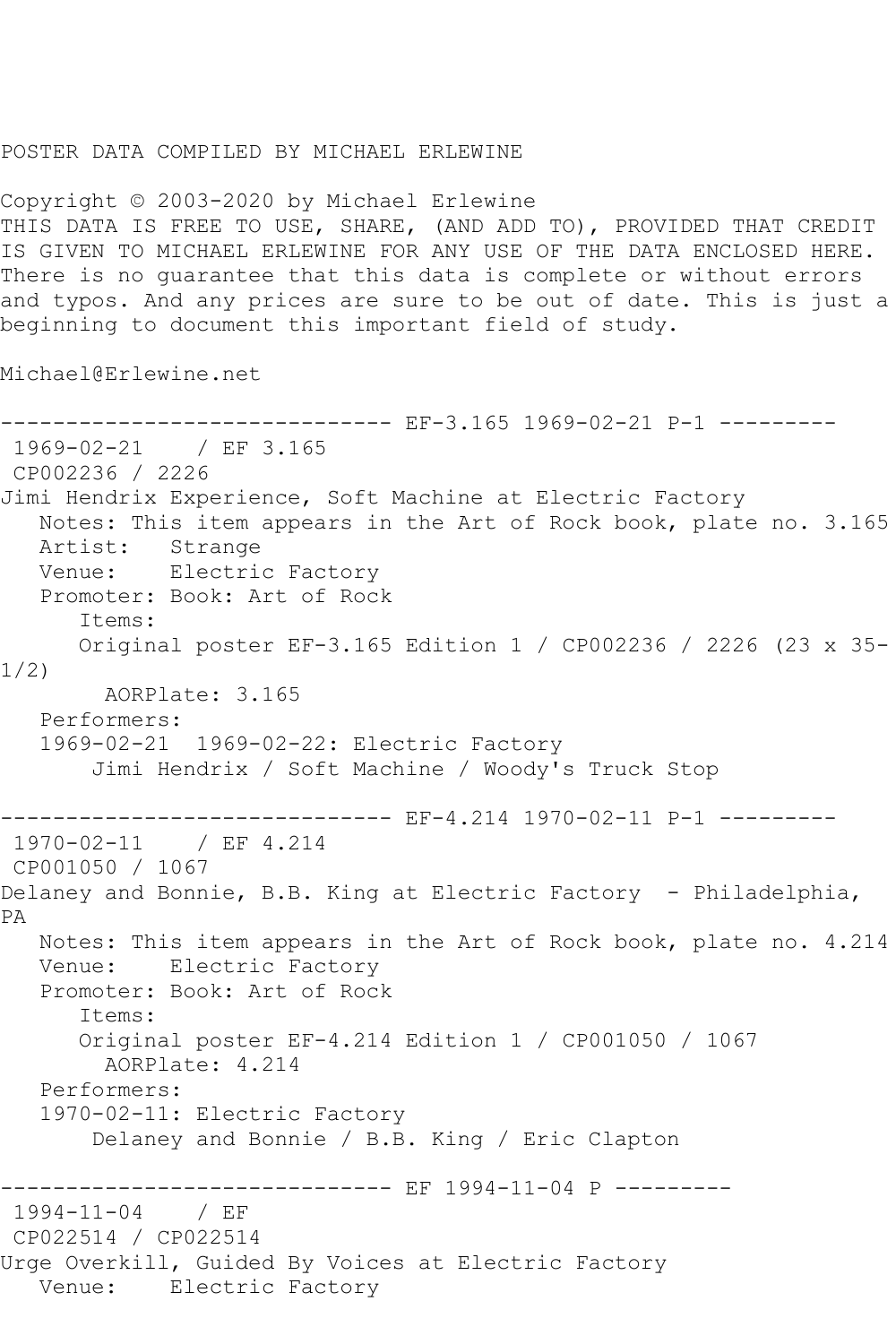## POSTER DATA COMPILED BY MICHAEL ERLEWINE

Copyright © 2003-2020 by Michael Erlewine THIS DATA IS FREE TO USE, SHARE, (AND ADD TO), PROVIDED THAT CREDIT IS GIVEN TO MICHAEL ERLEWINE FOR ANY USE OF THE DATA ENCLOSED HERE. There is no guarantee that this data is complete or without errors and typos. And any prices are sure to be out of date. This is just a beginning to document this important field of study.

Michael@Erlewine.net

```
------------------------------ EF-3.165 1969-02-21 P-1 ---------
1969-02-21 / EF 3.165
CP002236 / 2226
Jimi Hendrix Experience, Soft Machine at Electric Factory
   Notes: This item appears in the Art of Rock book, plate no. 3.165
   Artist: Strange
   Venue: Electric Factory
   Promoter: Book: Art of Rock
      Items:
      Original poster EF-3.165 Edition 1 / CP002236 / 2226 (23 x 35-
1/2)
        AORPlate: 3.165 
   Performers:
   1969-02-21 1969-02-22: Electric Factory
       Jimi Hendrix / Soft Machine / Woody's Truck Stop
         ------------------------------ EF-4.214 1970-02-11 P-1 ---------
1970-02-11 / EF 4.214
CP001050 / 1067
Delaney and Bonnie, B.B. King at Electric Factory - Philadelphia,
PA
   Notes: This item appears in the Art of Rock book, plate no. 4.214
   Venue: Electric Factory
   Promoter: Book: Art of Rock
      Items:
      Original poster EF-4.214 Edition 1 / CP001050 / 1067
        AORPlate: 4.214 
   Performers:
   1970-02-11: Electric Factory
        Delaney and Bonnie / B.B. King / Eric Clapton
                -------------- EF 1994-11-04 P ---------
1994-11-04 / EF 
CP022514 / CP022514
Urge Overkill, Guided By Voices at Electric Factory
   Venue: Electric Factory
```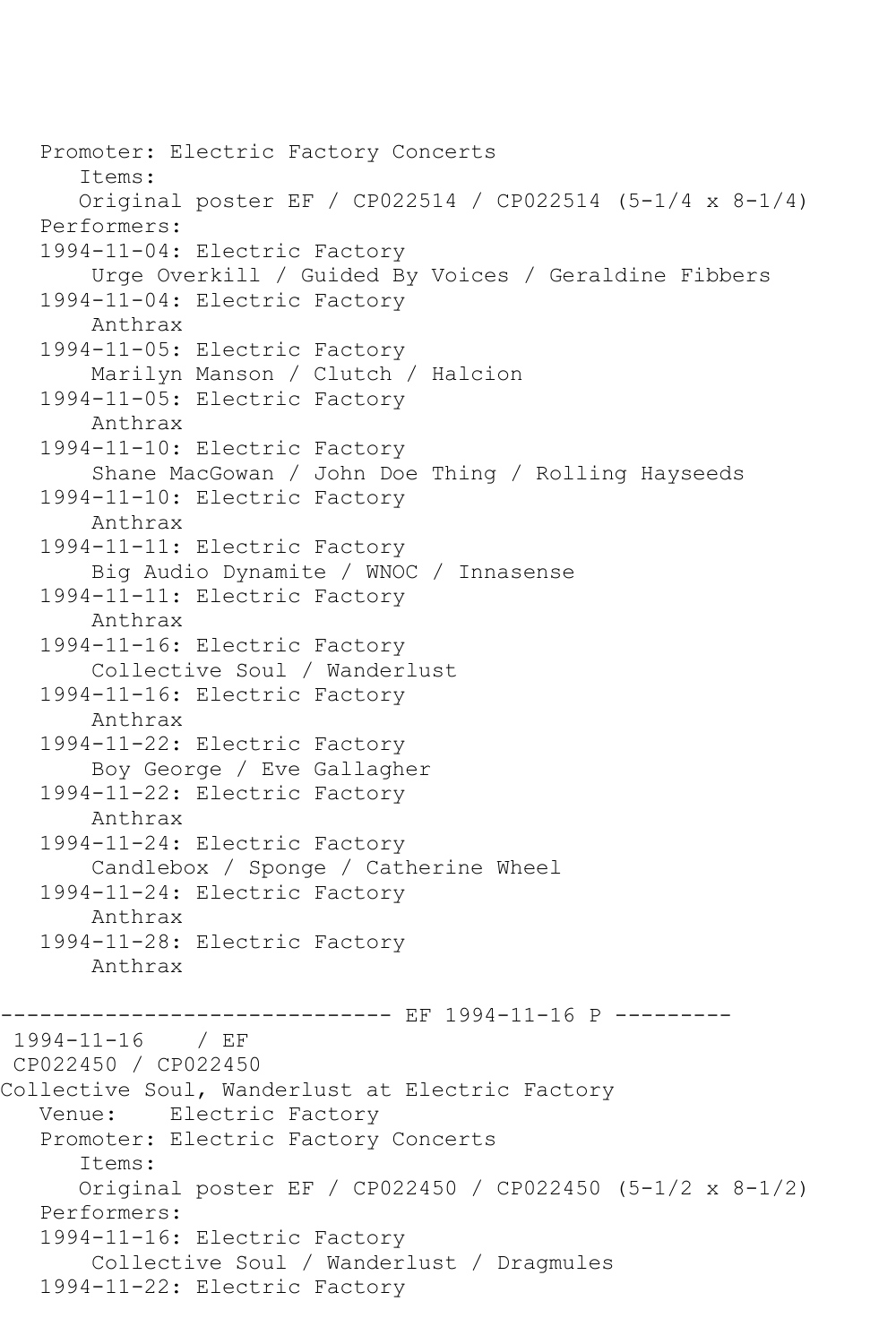Promoter: Electric Factory Concerts Items: Original poster EF / CP022514 / CP022514 (5-1/4 x 8-1/4) Performers: 1994-11-04: Electric Factory Urge Overkill / Guided By Voices / Geraldine Fibbers 1994-11-04: Electric Factory Anthrax 1994-11-05: Electric Factory Marilyn Manson / Clutch / Halcion 1994-11-05: Electric Factory Anthrax 1994-11-10: Electric Factory Shane MacGowan / John Doe Thing / Rolling Hayseeds 1994-11-10: Electric Factory Anthrax 1994-11-11: Electric Factory Big Audio Dynamite / WNOC / Innasense 1994-11-11: Electric Factory Anthrax 1994-11-16: Electric Factory Collective Soul / Wanderlust 1994-11-16: Electric Factory Anthrax 1994-11-22: Electric Factory Boy George / Eve Gallagher 1994-11-22: Electric Factory Anthrax 1994-11-24: Electric Factory Candlebox / Sponge / Catherine Wheel 1994-11-24: Electric Factory Anthrax 1994-11-28: Electric Factory Anthrax ------------ EF 1994-11-16 P ----------1994-11-16 / EF CP022450 / CP022450 Collective Soul, Wanderlust at Electric Factory Venue: Electric Factory Promoter: Electric Factory Concerts Items: Original poster EF / CP022450 / CP022450 (5-1/2 x 8-1/2) Performers: 1994-11-16: Electric Factory Collective Soul / Wanderlust / Dragmules 1994-11-22: Electric Factory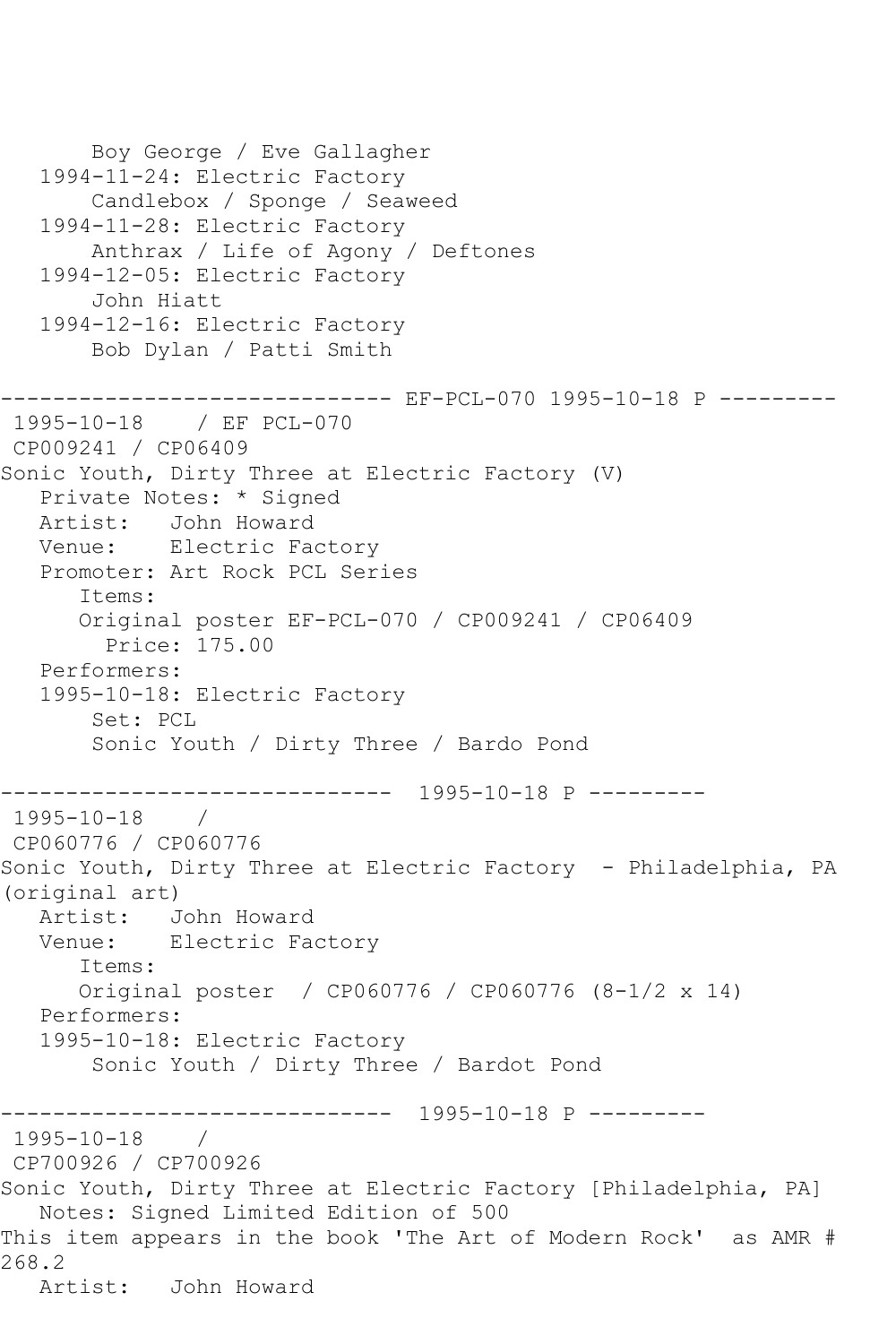Boy George / Eve Gallagher 1994-11-24: Electric Factory Candlebox / Sponge / Seaweed 1994-11-28: Electric Factory Anthrax / Life of Agony / Deftones 1994-12-05: Electric Factory John Hiatt 1994-12-16: Electric Factory Bob Dylan / Patti Smith ------------------------------ EF-PCL-070 1995-10-18 P --------- 1995-10-18 / EF PCL-070 CP009241 / CP06409 Sonic Youth, Dirty Three at Electric Factory (V) Private Notes: \* Signed Artist: John Howard Venue: Electric Factory Promoter: Art Rock PCL Series Items: Original poster EF-PCL-070 / CP009241 / CP06409 Price: 175.00 Performers: 1995-10-18: Electric Factory Set: PCL Sonic Youth / Dirty Three / Bardo Pond ------------------------------ 1995-10-18 P --------- 1995-10-18 / CP060776 / CP060776 Sonic Youth, Dirty Three at Electric Factory - Philadelphia, PA (original art) Artist: John Howard Venue: Electric Factory Items: Original poster / CP060776 / CP060776 (8-1/2 x 14) Performers: 1995-10-18: Electric Factory Sonic Youth / Dirty Three / Bardot Pond ------------------------------ 1995-10-18 P --------- 1995-10-18 / CP700926 / CP700926 Sonic Youth, Dirty Three at Electric Factory [Philadelphia, PA] Notes: Signed Limited Edition of 500 This item appears in the book 'The Art of Modern Rock' as AMR # 268.2 Artist: John Howard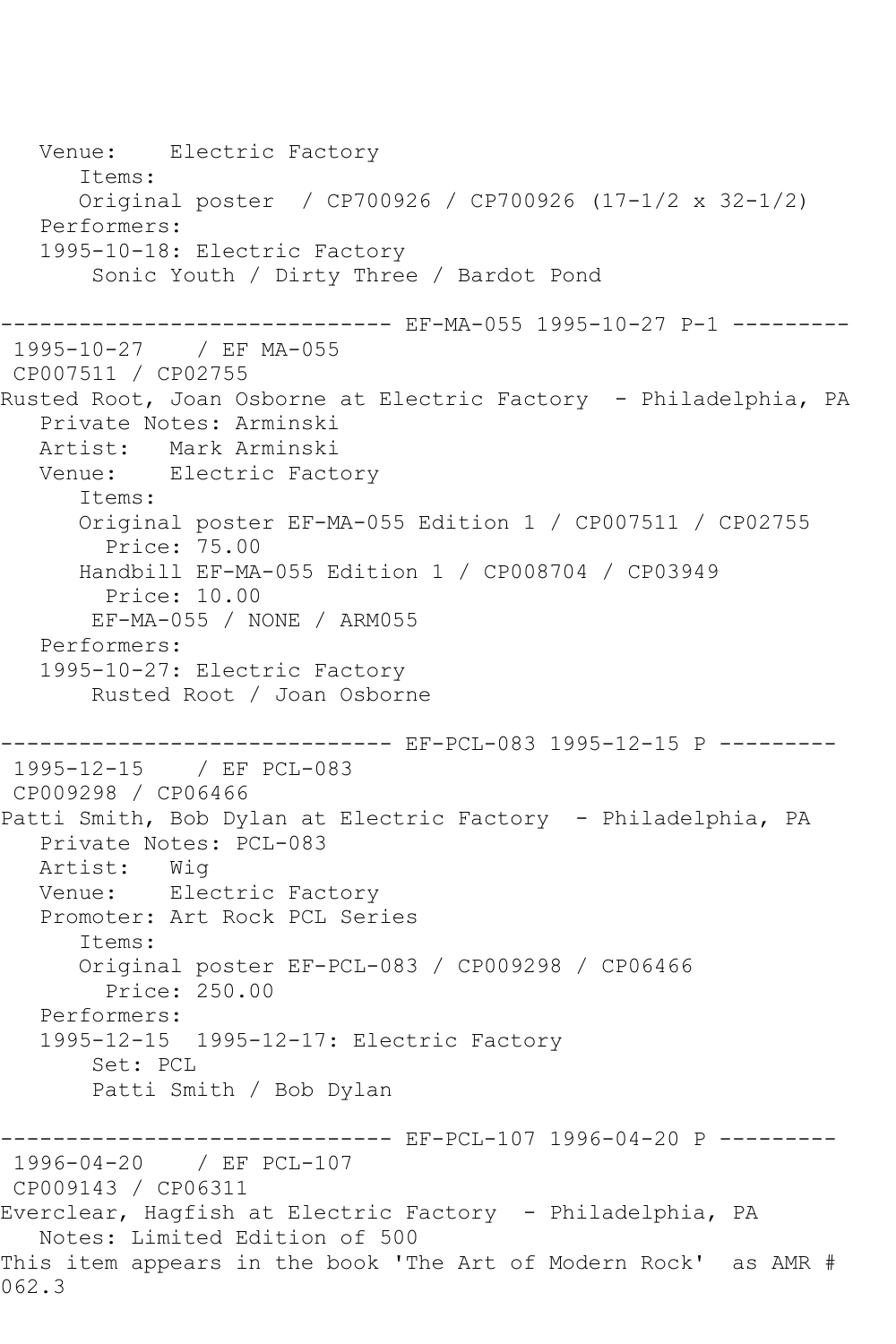Venue: Electric Factory Items: Original poster / CP700926 / CP700926 (17-1/2 x 32-1/2) Performers: 1995-10-18: Electric Factory Sonic Youth / Dirty Three / Bardot Pond ------------------------------ EF-MA-055 1995-10-27 P-1 --------- 1995-10-27 / EF MA-055 CP007511 / CP02755 Rusted Root, Joan Osborne at Electric Factory - Philadelphia, PA Private Notes: Arminski Artist: Mark Arminski Venue: Electric Factory Items: Original poster EF-MA-055 Edition 1 / CP007511 / CP02755 Price: 75.00 Handbill EF-MA-055 Edition 1 / CP008704 / CP03949 Price: 10.00 EF-MA-055 / NONE / ARM055 Performers: 1995-10-27: Electric Factory Rusted Root / Joan Osborne ------------------------------ EF-PCL-083 1995-12-15 P --------- 1995-12-15 / EF PCL-083 CP009298 / CP06466 Patti Smith, Bob Dylan at Electric Factory - Philadelphia, PA Private Notes: PCL-083<br>Artist: Wiq Artist: Venue: Electric Factory Promoter: Art Rock PCL Series Items: Original poster EF-PCL-083 / CP009298 / CP06466 Price: 250.00 Performers: 1995-12-15 1995-12-17: Electric Factory Set: PCL Patti Smith / Bob Dylan ------------ EF-PCL-107 1996-04-20 P ---------1996-04-20 / EF PCL-107 CP009143 / CP06311 Everclear, Hagfish at Electric Factory - Philadelphia, PA Notes: Limited Edition of 500 This item appears in the book 'The Art of Modern Rock' as AMR # 062.3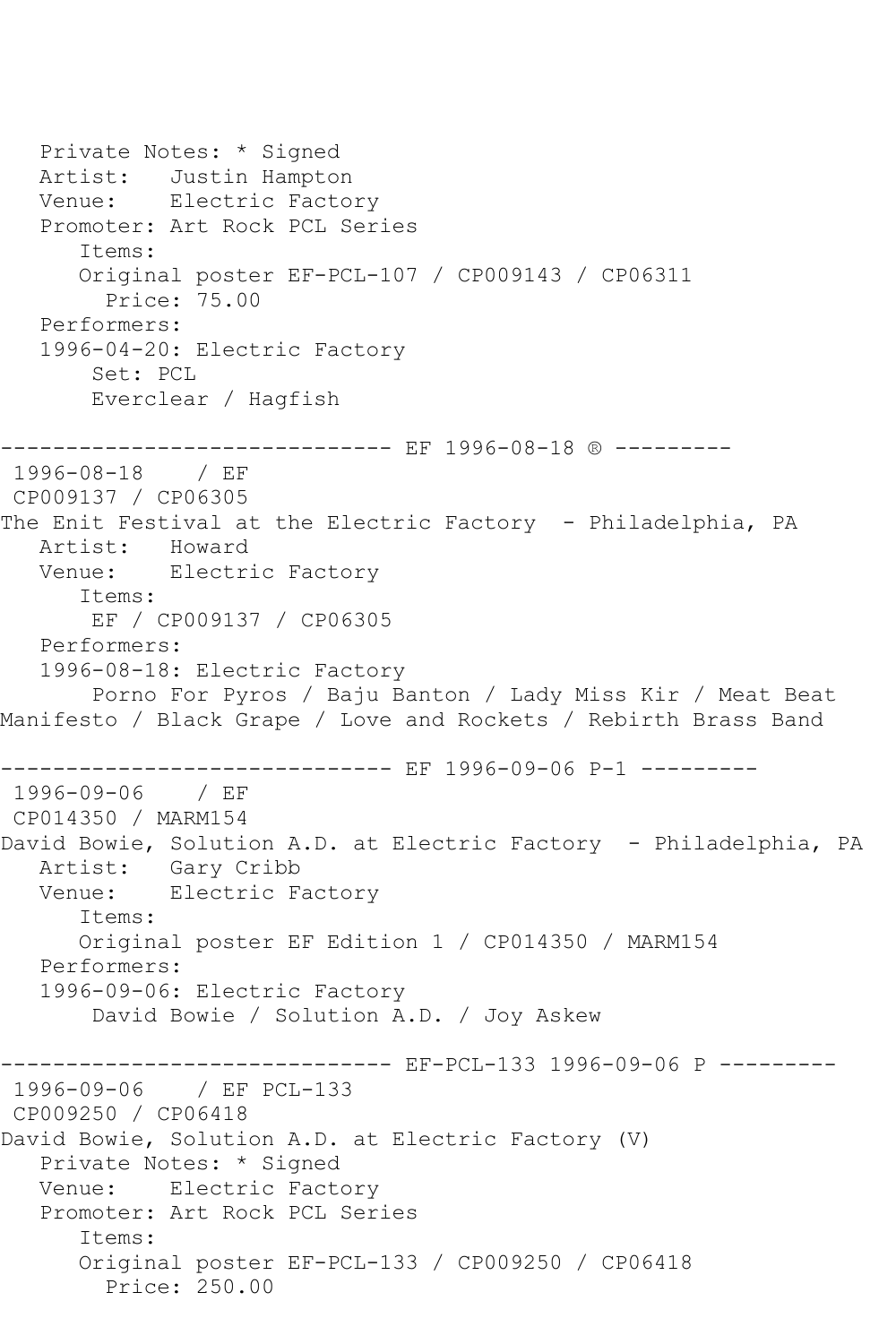Private Notes: \* Signed Artist: Justin Hampton Venue: Electric Factory Promoter: Art Rock PCL Series Items: Original poster EF-PCL-107 / CP009143 / CP06311 Price: 75.00 Performers: 1996-04-20: Electric Factory Set: PCL Everclear / Hagfish ------------- EF 1996-08-18 ® ---------1996-08-18 / EF CP009137 / CP06305 The Enit Festival at the Electric Factory - Philadelphia, PA Artist: Howard<br>Venue: Electr: Electric Factory Items: EF / CP009137 / CP06305 Performers: 1996-08-18: Electric Factory Porno For Pyros / Baju Banton / Lady Miss Kir / Meat Beat Manifesto / Black Grape / Love and Rockets / Rebirth Brass Band ------------------------------ EF 1996-09-06 P-1 --------- 1996-09-06 / EF CP014350 / MARM154 David Bowie, Solution A.D. at Electric Factory - Philadelphia, PA Artist: Gary Cribb Venue: Electric Factory Items: Original poster EF Edition 1 / CP014350 / MARM154 Performers: 1996-09-06: Electric Factory David Bowie / Solution A.D. / Joy Askew ------- EF-PCL-133 1996-09-06 P ---------1996-09-06 / EF PCL-133 CP009250 / CP06418 David Bowie, Solution A.D. at Electric Factory (V) Private Notes: \* Signed Venue: Electric Factory Promoter: Art Rock PCL Series Items: Original poster EF-PCL-133 / CP009250 / CP06418 Price: 250.00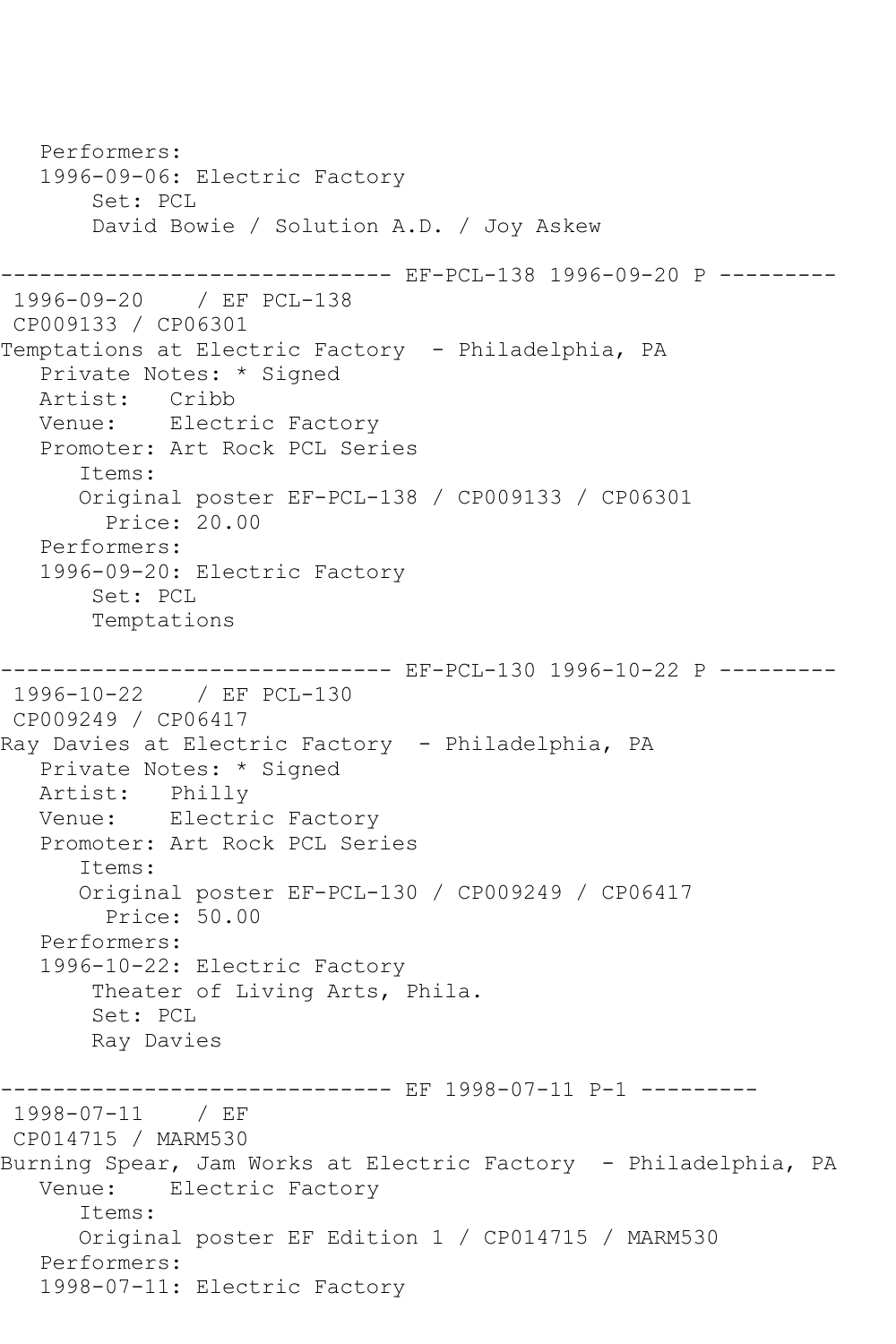Performers: 1996-09-06: Electric Factory Set: PCL David Bowie / Solution A.D. / Joy Askew ------- EF-PCL-138 1996-09-20 P ---------1996-09-20 / EF PCL-138 CP009133 / CP06301 Temptations at Electric Factory - Philadelphia, PA Private Notes: \* Signed Artist: Cribb<br>Venue: Electi Electric Factory Promoter: Art Rock PCL Series Items: Original poster EF-PCL-138 / CP009133 / CP06301 Price: 20.00 Performers: 1996-09-20: Electric Factory Set: PCL Temptations ------ EF-PCL-130 1996-10-22 P ---------1996-10-22 / EF PCL-130 CP009249 / CP06417 Ray Davies at Electric Factory - Philadelphia, PA Private Notes: \* Signed Artist: Philly Venue: Electric Factory Promoter: Art Rock PCL Series Items: Original poster EF-PCL-130 / CP009249 / CP06417 Price: 50.00 Performers: 1996-10-22: Electric Factory Theater of Living Arts, Phila. Set: PCL Ray Davies ------------------------------ EF 1998-07-11 P-1 --------- 1998-07-11 / EF CP014715 / MARM530 Burning Spear, Jam Works at Electric Factory - Philadelphia, PA Venue: Electric Factory Items: Original poster EF Edition 1 / CP014715 / MARM530 Performers: 1998-07-11: Electric Factory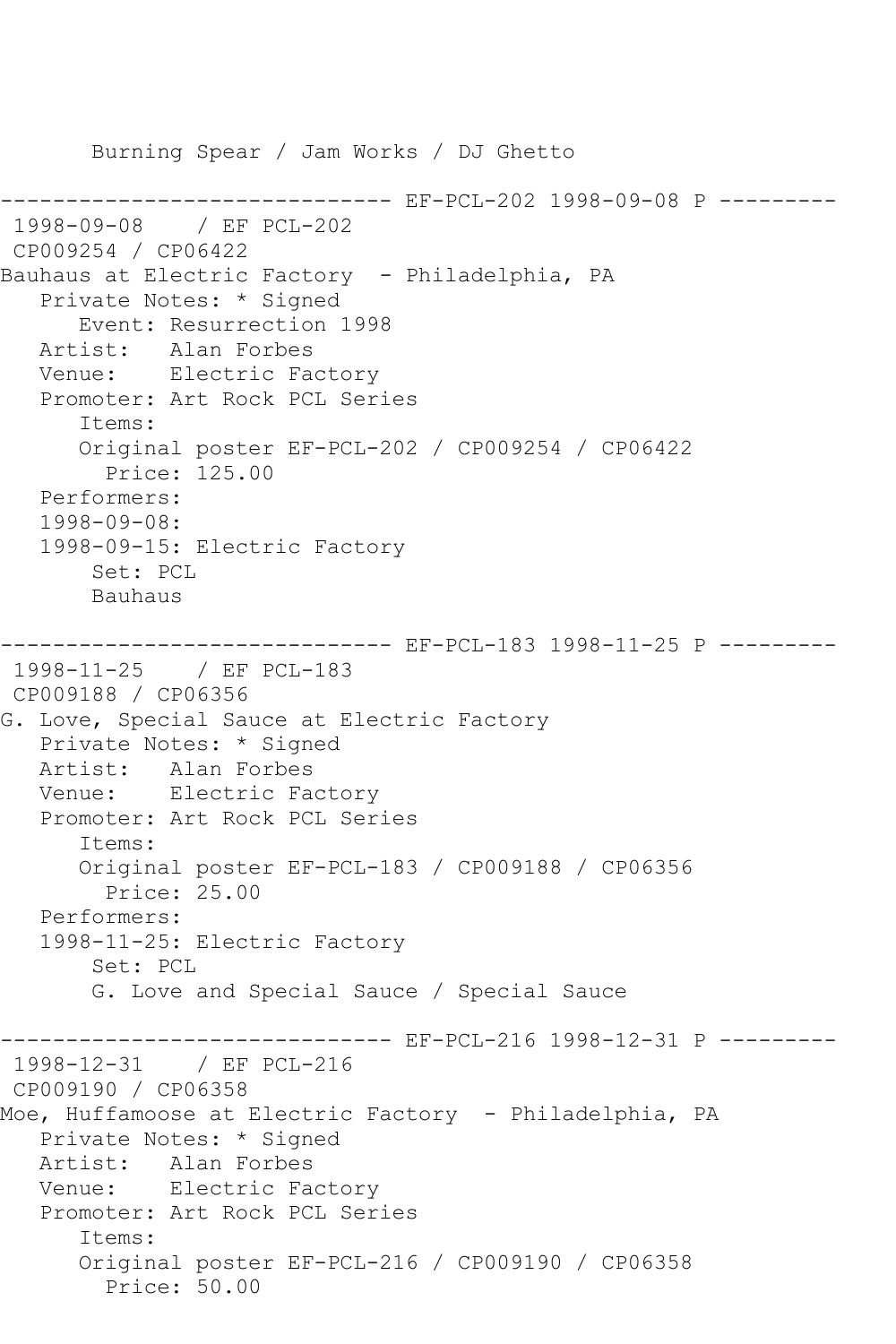Burning Spear / Jam Works / DJ Ghetto ----------- EF-PCL-202 1998-09-08 P ---------1998-09-08 / EF PCL-202 CP009254 / CP06422 Bauhaus at Electric Factory - Philadelphia, PA Private Notes: \* Signed Event: Resurrection 1998 Artist: Alan Forbes Venue: Electric Factory Promoter: Art Rock PCL Series Items: Original poster EF-PCL-202 / CP009254 / CP06422 Price: 125.00 Performers: 1998-09-08: 1998-09-15: Electric Factory Set: PCL Bauhaus ------------------------------ EF-PCL-183 1998-11-25 P --------- 1998-11-25 / EF PCL-183 CP009188 / CP06356 G. Love, Special Sauce at Electric Factory Private Notes: \* Signed Artist: Alan Forbes Venue: Electric Factory Promoter: Art Rock PCL Series Items: Original poster EF-PCL-183 / CP009188 / CP06356 Price: 25.00 Performers: 1998-11-25: Electric Factory Set: PCL G. Love and Special Sauce / Special Sauce ------------------------------ EF-PCL-216 1998-12-31 P --------- 1998-12-31 / EF PCL-216 CP009190 / CP06358 Moe, Huffamoose at Electric Factory - Philadelphia, PA Private Notes: \* Signed Artist: Alan Forbes Venue: Electric Factory Promoter: Art Rock PCL Series Items: Original poster EF-PCL-216 / CP009190 / CP06358 Price: 50.00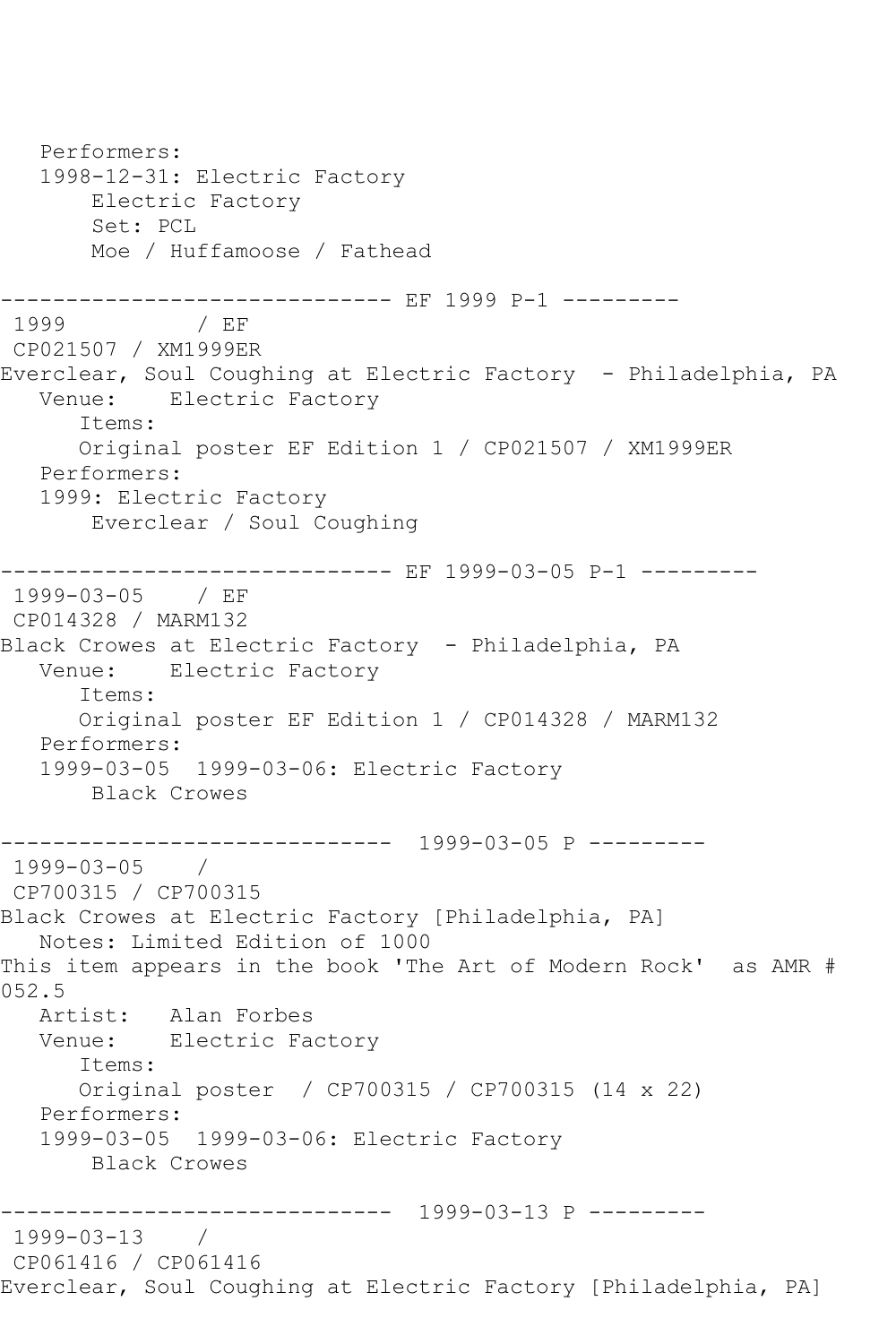Performers: 1998-12-31: Electric Factory Electric Factory Set: PCL Moe / Huffamoose / Fathead --------------------------------- EF 1999 P-1 ----------<br>1999 / EF  $/$  EF CP021507 / XM1999ER Everclear, Soul Coughing at Electric Factory - Philadelphia, PA<br>Venue: Electric Factory Electric Factory Items: Original poster EF Edition 1 / CP021507 / XM1999ER Performers: 1999: Electric Factory Everclear / Soul Coughing ------------------------------ EF 1999-03-05 P-1 --------- 1999-03-05 / EF CP014328 / MARM132 Black Crowes at Electric Factory - Philadelphia, PA Venue: Electric Factory Items: Original poster EF Edition 1 / CP014328 / MARM132 Performers: 1999-03-05 1999-03-06: Electric Factory Black Crowes ------------------------------ 1999-03-05 P --------- 1999-03-05 / CP700315 / CP700315 Black Crowes at Electric Factory [Philadelphia, PA] Notes: Limited Edition of 1000 This item appears in the book 'The Art of Modern Rock' as AMR # 052.5 Artist: Alan Forbes Venue: Electric Factory Items: Original poster / CP700315 / CP700315 (14 x 22) Performers: 1999-03-05 1999-03-06: Electric Factory Black Crowes ------------------------------ 1999-03-13 P --------- 1999-03-13 / CP061416 / CP061416 Everclear, Soul Coughing at Electric Factory [Philadelphia, PA]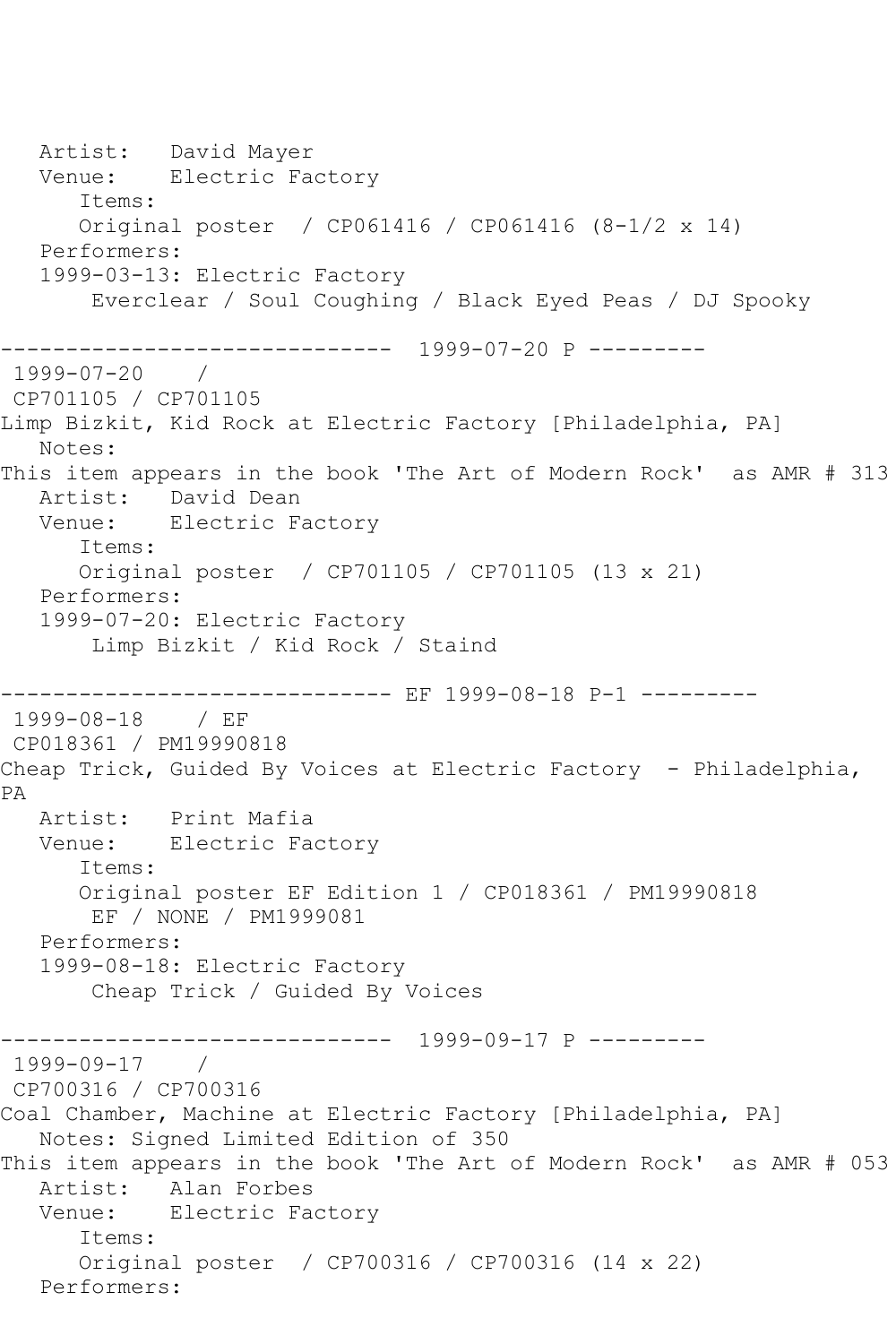Artist: David Mayer Venue: Electric Factory Items: Original poster / CP061416 / CP061416 (8-1/2 x 14) Performers: 1999-03-13: Electric Factory Everclear / Soul Coughing / Black Eyed Peas / DJ Spooky ------------------------------ 1999-07-20 P --------- 1999-07-20 / CP701105 / CP701105 Limp Bizkit, Kid Rock at Electric Factory [Philadelphia, PA] Notes: This item appears in the book 'The Art of Modern Rock' as AMR # 313 Artist: David Dean Venue: Electric Factory Items: Original poster / CP701105 / CP701105 (13 x 21) Performers: 1999-07-20: Electric Factory Limp Bizkit / Kid Rock / Staind -------------- EF 1999-08-18 P-1 ----------1999-08-18 / EF CP018361 / PM19990818 Cheap Trick, Guided By Voices at Electric Factory - Philadelphia, PA Artist: Print Mafia Venue: Electric Factory Items: Original poster EF Edition 1 / CP018361 / PM19990818 EF / NONE / PM1999081 Performers: 1999-08-18: Electric Factory Cheap Trick / Guided By Voices ------------------------------ 1999-09-17 P --------- 1999-09-17 / CP700316 / CP700316 Coal Chamber, Machine at Electric Factory [Philadelphia, PA] Notes: Signed Limited Edition of 350 This item appears in the book 'The Art of Modern Rock' as AMR # 053 Artist: Alan Forbes Venue: Electric Factory Items: Original poster / CP700316 / CP700316 (14 x 22) Performers: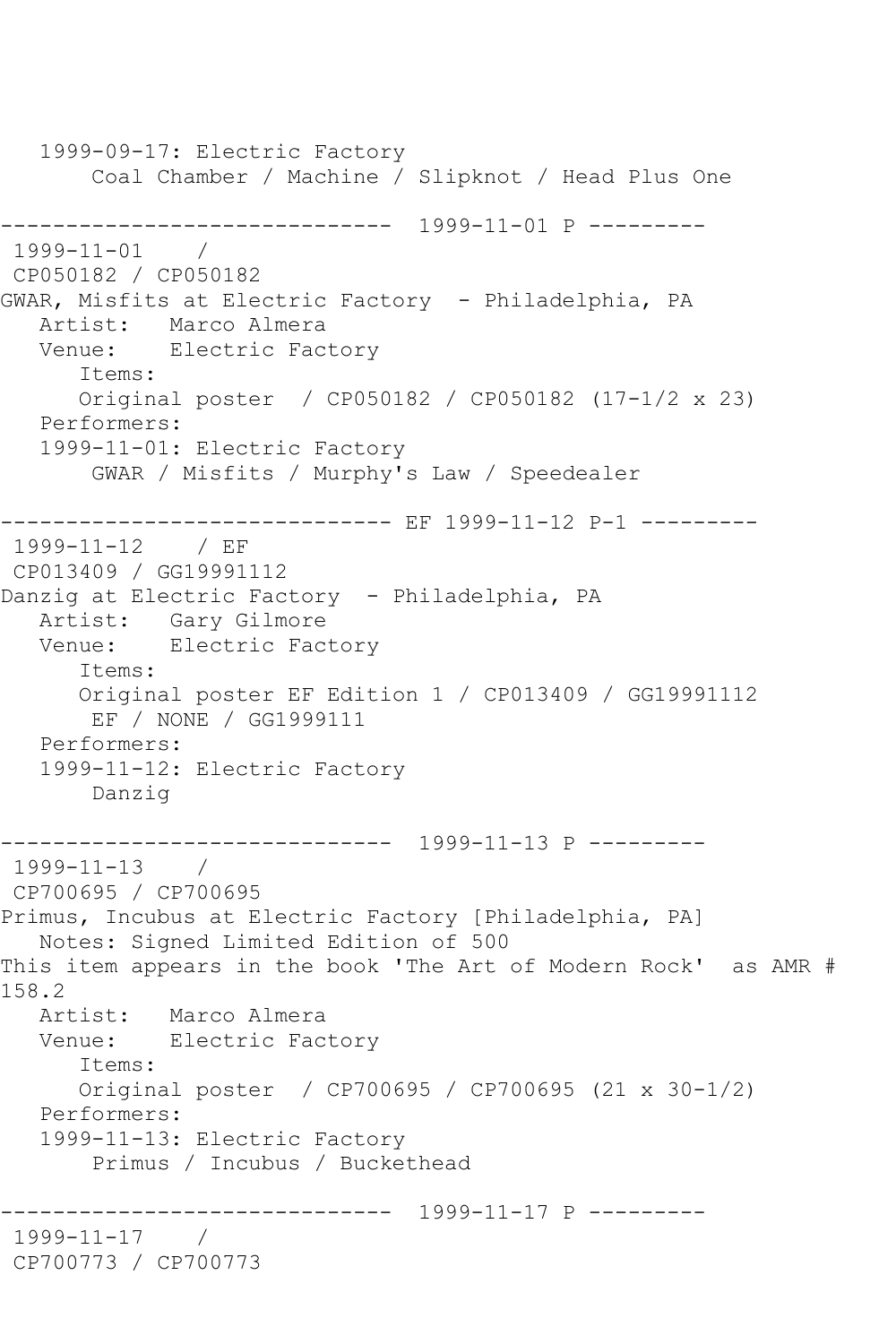1999-09-17: Electric Factory Coal Chamber / Machine / Slipknot / Head Plus One ------------------------------ 1999-11-01 P --------- 1999-11-01 / CP050182 / CP050182 GWAR, Misfits at Electric Factory - Philadelphia, PA Artist: Marco Almera Venue: Electric Factory Items: Original poster / CP050182 / CP050182 (17-1/2 x 23) Performers: 1999-11-01: Electric Factory GWAR / Misfits / Murphy's Law / Speedealer ------------------------------ EF 1999-11-12 P-1 --------- 1999-11-12 / EF CP013409 / GG19991112 Danzig at Electric Factory - Philadelphia, PA Artist: Gary Gilmore Venue: Electric Factory Items: Original poster EF Edition 1 / CP013409 / GG19991112 EF / NONE / GG1999111 Performers: 1999-11-12: Electric Factory Danzig ------------------------------ 1999-11-13 P --------- 1999-11-13 / CP700695 / CP700695 Primus, Incubus at Electric Factory [Philadelphia, PA] Notes: Signed Limited Edition of 500 This item appears in the book 'The Art of Modern Rock' as AMR # 158.2 Artist: Marco Almera Venue: Electric Factory Items: Original poster / CP700695 / CP700695 (21 x 30-1/2) Performers: 1999-11-13: Electric Factory Primus / Incubus / Buckethead ------------------------------ 1999-11-17 P --------- 1999-11-17 / CP700773 / CP700773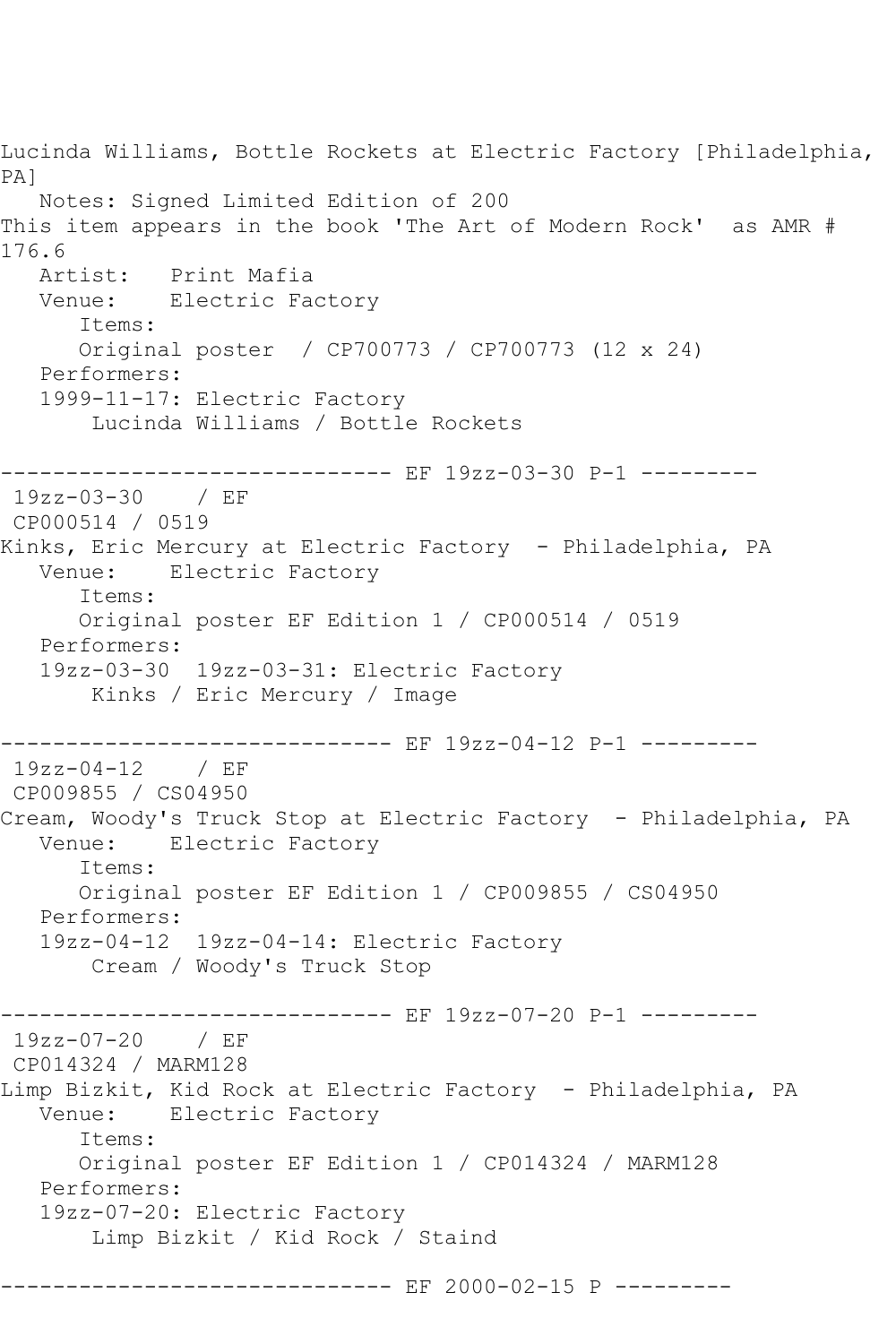Lucinda Williams, Bottle Rockets at Electric Factory [Philadelphia, PA] Notes: Signed Limited Edition of 200 This item appears in the book 'The Art of Modern Rock' as AMR # 176.6<br>Artist: Print Mafia Venue: Electric Factory Items: Original poster / CP700773 / CP700773 (12 x 24) Performers: 1999-11-17: Electric Factory Lucinda Williams / Bottle Rockets ------------------------------ EF 19zz-03-30 P-1 --------- 19zz-03-30 / EF CP000514 / 0519 Kinks, Eric Mercury at Electric Factory - Philadelphia, PA Venue: Electric Factory Items: Original poster EF Edition 1 / CP000514 / 0519 Performers: 19zz-03-30 19zz-03-31: Electric Factory Kinks / Eric Mercury / Image ------------ EF 19zz-04-12 P-1 ---------19zz-04-12 / EF CP009855 / CS04950 Cream, Woody's Truck Stop at Electric Factory - Philadelphia, PA Venue: Electric Factory Items: Original poster EF Edition 1 / CP009855 / CS04950 Performers: 19zz-04-12 19zz-04-14: Electric Factory Cream / Woody's Truck Stop ------------------------------ EF 19zz-07-20 P-1 --------- 19zz-07-20 / EF CP014324 / MARM128 Limp Bizkit, Kid Rock at Electric Factory - Philadelphia, PA Venue: Electric Factory Items: Original poster EF Edition 1 / CP014324 / MARM128 Performers: 19zz-07-20: Electric Factory Limp Bizkit / Kid Rock / Staind ----------------------------- EF 2000-02-15 P ---------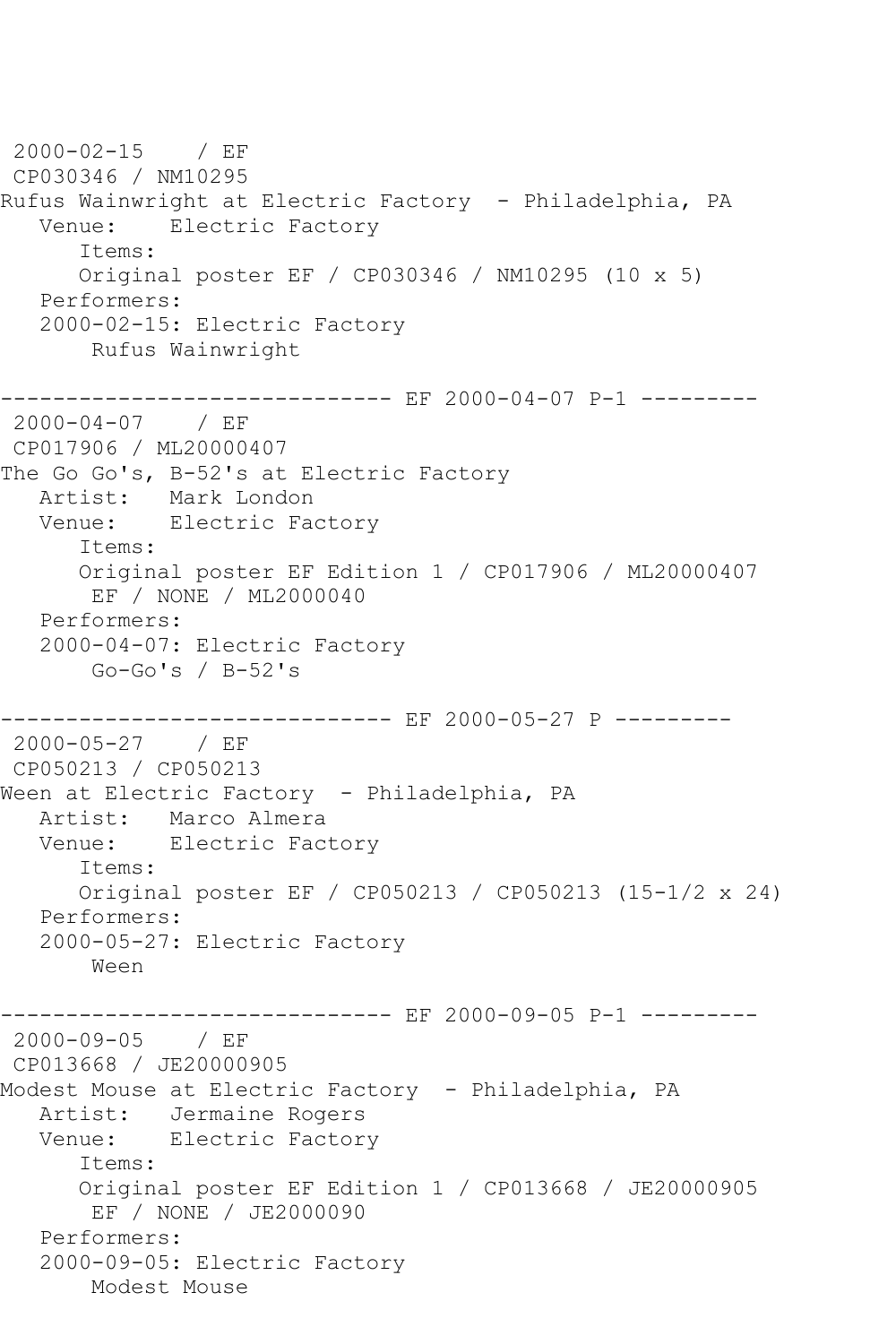2000-02-15 / EF CP030346 / NM10295 Rufus Wainwright at Electric Factory - Philadelphia, PA Venue: Electric Factory Items: Original poster EF / CP030346 / NM10295 (10 x 5) Performers: 2000-02-15: Electric Factory Rufus Wainwright ----------------------------- EF 2000-04-07 P-1 ---------2000-04-07 / EF CP017906 / ML20000407 The Go Go's, B-52's at Electric Factory Artist: Mark London Venue: Electric Factory Items: Original poster EF Edition 1 / CP017906 / ML20000407 EF / NONE / ML2000040 Performers: 2000-04-07: Electric Factory Go-Go's / B-52's ------------------------------ EF 2000-05-27 P ---------2000-05-27 / EF CP050213 / CP050213 Ween at Electric Factory - Philadelphia, PA Artist: Marco Almera Venue: Electric Factory Items: Original poster EF / CP050213 / CP050213 (15-1/2 x 24) Performers: 2000-05-27: Electric Factory Ween ------------------------------ EF 2000-09-05 P-1 --------- 2000-09-05 / EF CP013668 / JE20000905 Modest Mouse at Electric Factory - Philadelphia, PA Artist: Jermaine Rogers Venue: Electric Factory Items: Original poster EF Edition 1 / CP013668 / JE20000905 EF / NONE / JE2000090 Performers: 2000-09-05: Electric Factory Modest Mouse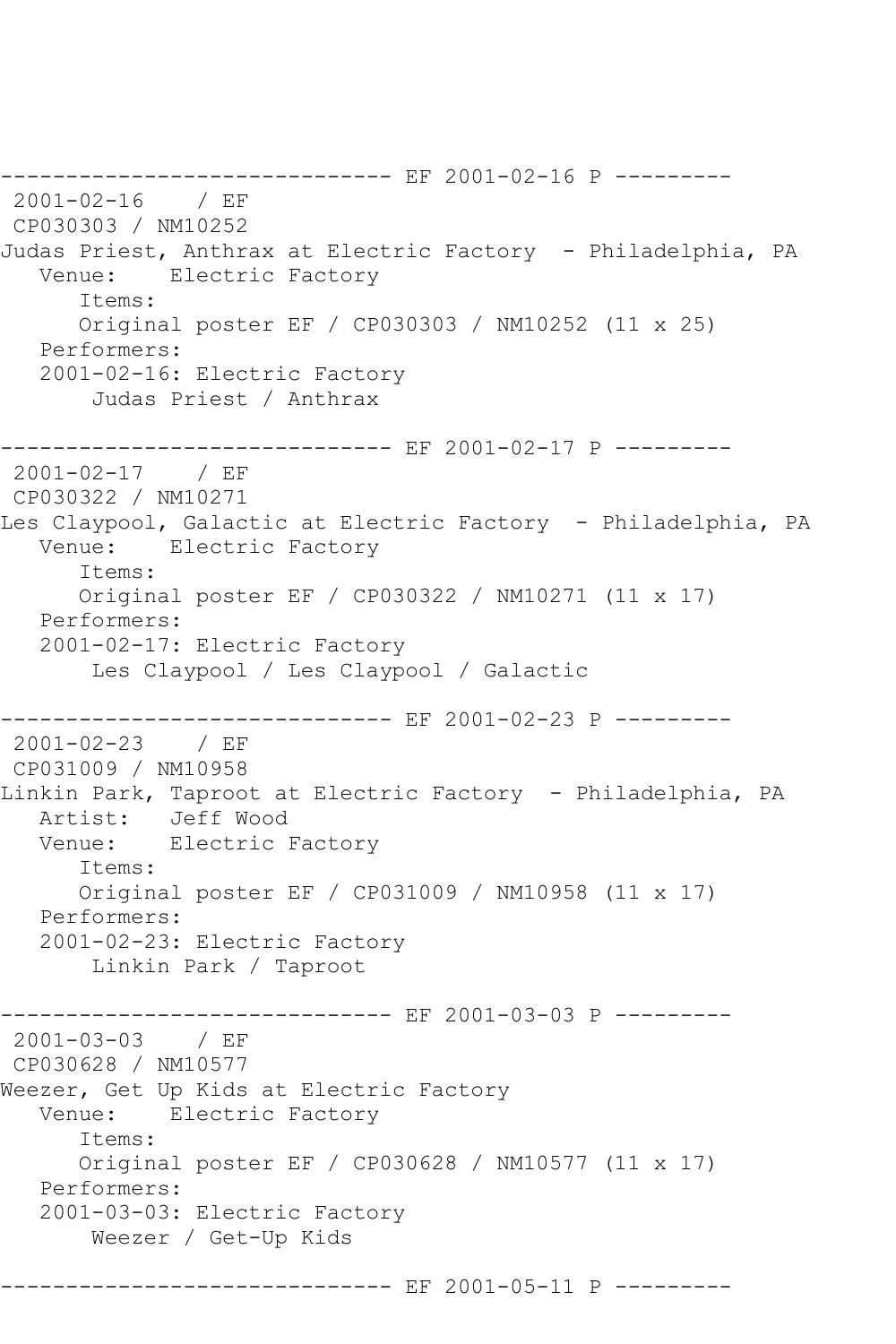------------------------------ EF 2001-02-16 P --------- 2001-02-16 / EF CP030303 / NM10252 Judas Priest, Anthrax at Electric Factory - Philadelphia, PA Venue: Electric Factory Items: Original poster EF / CP030303 / NM10252 (11 x 25) Performers: 2001-02-16: Electric Factory Judas Priest / Anthrax ------------------------------ EF 2001-02-17 P --------- 2001-02-17 / EF CP030322 / NM10271 Les Claypool, Galactic at Electric Factory - Philadelphia, PA Venue: Electric Factory Items: Original poster EF / CP030322 / NM10271 (11 x 17) Performers: 2001-02-17: Electric Factory Les Claypool / Les Claypool / Galactic ----------------------------- EF 2001-02-23 P ---------2001-02-23 / EF CP031009 / NM10958 Linkin Park, Taproot at Electric Factory - Philadelphia, PA Artist: Jeff Wood Venue: Electric Factory Items: Original poster EF / CP031009 / NM10958 (11 x 17) Performers: 2001-02-23: Electric Factory Linkin Park / Taproot ------------------------------ EF 2001-03-03 P --------- 2001-03-03 / EF CP030628 / NM10577 Weezer, Get Up Kids at Electric Factory<br>Venue: Electric Factory Electric Factory Items: Original poster EF / CP030628 / NM10577 (11 x 17) Performers: 2001-03-03: Electric Factory Weezer / Get-Up Kids ------------------------------ EF 2001-05-11 P ---------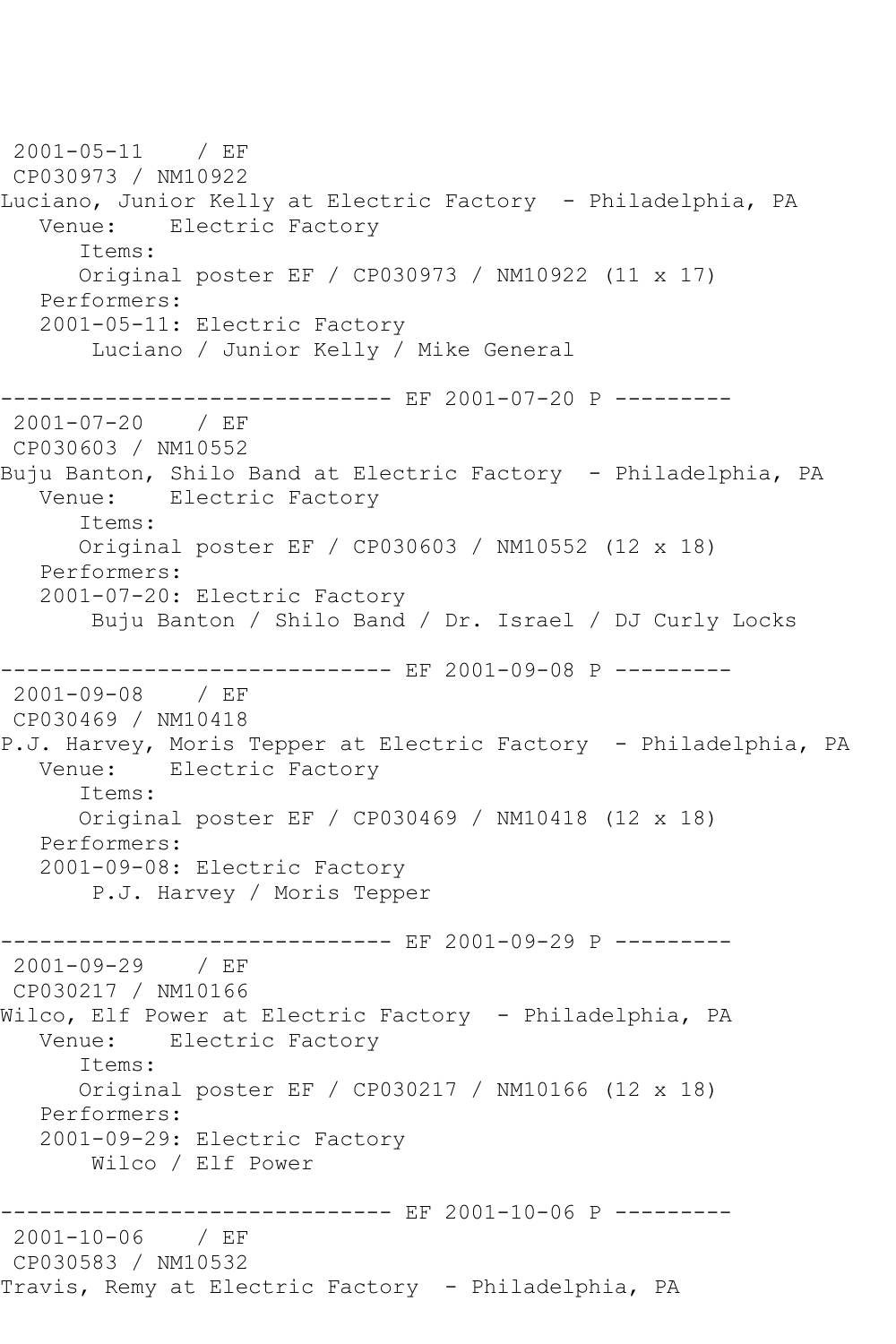2001-05-11 / EF CP030973 / NM10922 Luciano, Junior Kelly at Electric Factory - Philadelphia, PA Venue: Electric Factory Items: Original poster EF / CP030973 / NM10922 (11 x 17) Performers: 2001-05-11: Electric Factory Luciano / Junior Kelly / Mike General ---------------------------- EF 2001-07-20 P ---------2001-07-20 / EF CP030603 / NM10552 Buju Banton, Shilo Band at Electric Factory - Philadelphia, PA Venue: Electric Factory Items: Original poster EF / CP030603 / NM10552 (12 x 18) Performers: 2001-07-20: Electric Factory Buju Banton / Shilo Band / Dr. Israel / DJ Curly Locks ------------ EF 2001-09-08 P ---------2001-09-08 / EF CP030469 / NM10418 P.J. Harvey, Moris Tepper at Electric Factory - Philadelphia, PA Venue: Electric Factory Items: Original poster EF / CP030469 / NM10418 (12 x 18) Performers: 2001-09-08: Electric Factory P.J. Harvey / Moris Tepper ------------------------------ EF 2001-09-29 P --------- 2001-09-29 / EF CP030217 / NM10166 Wilco, Elf Power at Electric Factory - Philadelphia, PA Venue: Electric Factory Items: Original poster EF / CP030217 / NM10166 (12 x 18) Performers: 2001-09-29: Electric Factory Wilco / Elf Power -------------------- EF 2001-10-06 P ---------2001-10-06 / EF CP030583 / NM10532 Travis, Remy at Electric Factory - Philadelphia, PA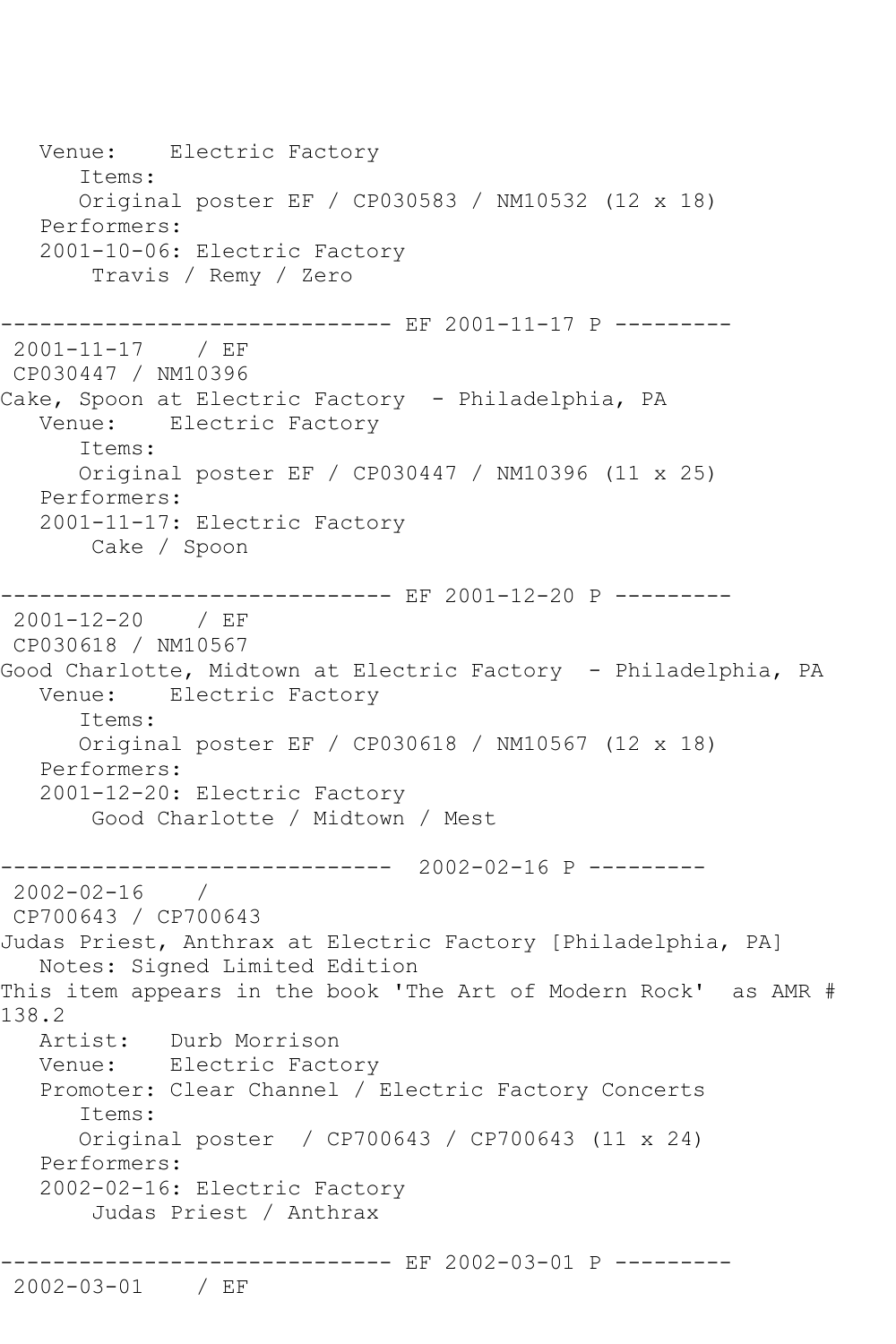Venue: Electric Factory Items: Original poster EF / CP030583 / NM10532 (12 x 18) Performers: 2001-10-06: Electric Factory Travis / Remy / Zero ------------------------------ EF 2001-11-17 P --------- 2001-11-17 / EF CP030447 / NM10396 Cake, Spoon at Electric Factory - Philadelphia, PA Venue: Electric Factory Items: Original poster EF / CP030447 / NM10396 (11 x 25) Performers: 2001-11-17: Electric Factory Cake / Spoon ----------- EF 2001-12-20 P ---------2001-12-20 / EF CP030618 / NM10567 Good Charlotte, Midtown at Electric Factory - Philadelphia, PA Venue: Electric Factory Items: Original poster EF / CP030618 / NM10567 (12 x 18) Performers: 2001-12-20: Electric Factory Good Charlotte / Midtown / Mest ------------------------------ 2002-02-16 P --------- 2002-02-16 / CP700643 / CP700643 Judas Priest, Anthrax at Electric Factory [Philadelphia, PA] Notes: Signed Limited Edition This item appears in the book 'The Art of Modern Rock' as AMR # 138.2 Artist: Durb Morrison Venue: Electric Factory Promoter: Clear Channel / Electric Factory Concerts Items: Original poster / CP700643 / CP700643 (11 x 24) Performers: 2002-02-16: Electric Factory Judas Priest / Anthrax ----------------------------- EF 2002-03-01 P ---------

2002-03-01 / EF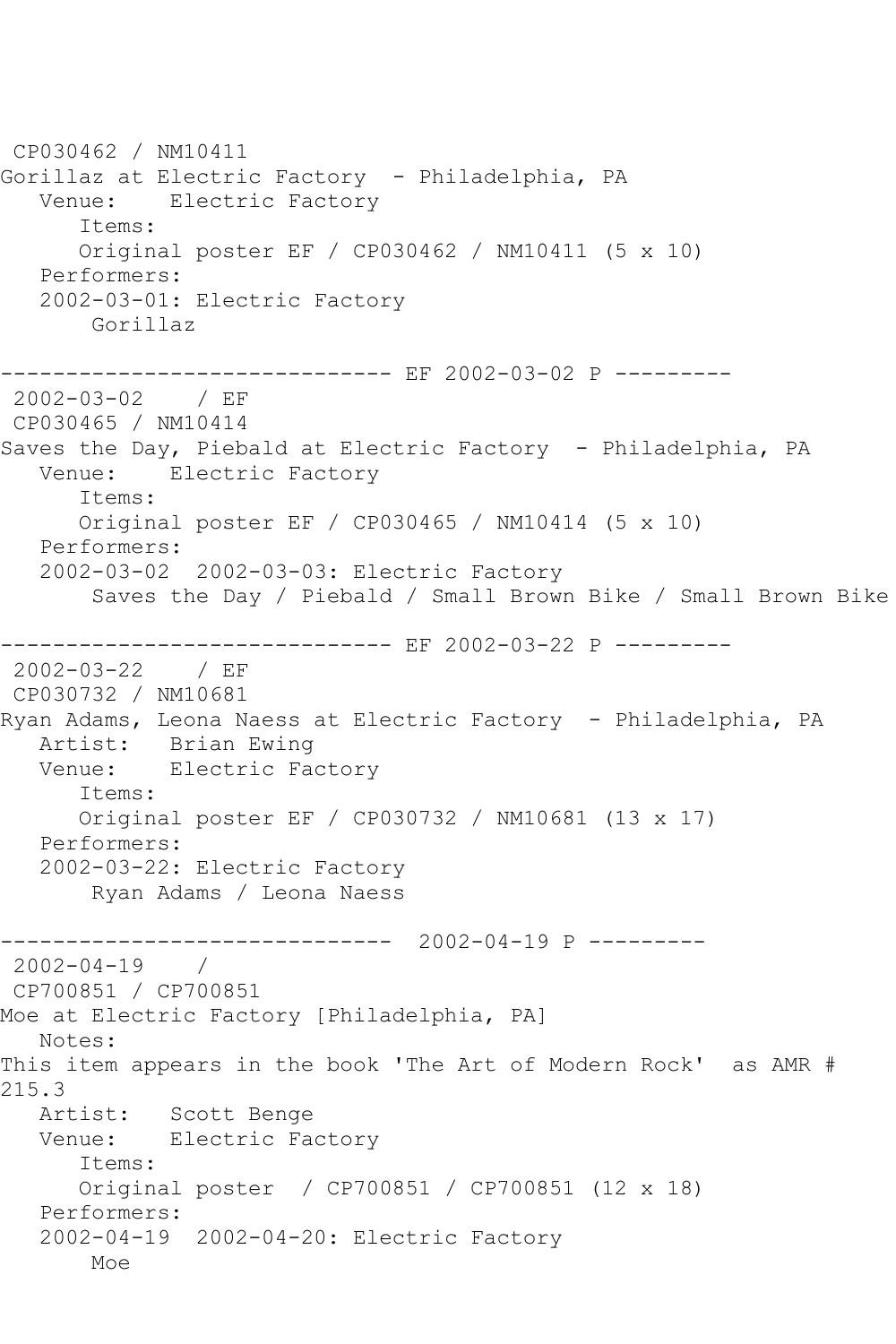```
CP030462 / NM10411
Gorillaz at Electric Factory - Philadelphia, PA
   Venue: Electric Factory
       Items:
      Original poster EF / CP030462 / NM10411 (5 x 10)
   Performers:
   2002-03-01: Electric Factory
        Gorillaz
------------------------------ EF 2002-03-02 P ---------
2002-03-02 / EF 
CP030465 / NM10414
Saves the Day, Piebald at Electric Factory - Philadelphia, PA
   Venue: Electric Factory
       Items:
       Original poster EF / CP030465 / NM10414 (5 x 10)
   Performers:
   2002-03-02 2002-03-03: Electric Factory
        Saves the Day / Piebald / Small Brown Bike / Small Brown Bike
----------------------------- EF 2002-03-22 P ---------
2002-03-22 / EF 
CP030732 / NM10681
Ryan Adams, Leona Naess at Electric Factory - Philadelphia, PA
  Artist: Brian Ewing<br>Venue: Electric Fac
           Electric Factory
       Items:
      Original poster EF / CP030732 / NM10681 (13 x 17)
   Performers:
   2002-03-22: Electric Factory
       Ryan Adams / Leona Naess
------------------------------ 2002-04-19 P ---------
2002-04-19 / 
CP700851 / CP700851
Moe at Electric Factory [Philadelphia, PA]
   Notes: 
This item appears in the book 'The Art of Modern Rock' as AMR # 
215.3<br>: Artist
            Scott Benge
   Venue: Electric Factory
       Items:
       Original poster / CP700851 / CP700851 (12 x 18)
   Performers:
   2002-04-19 2002-04-20: Electric Factory
       Moe
```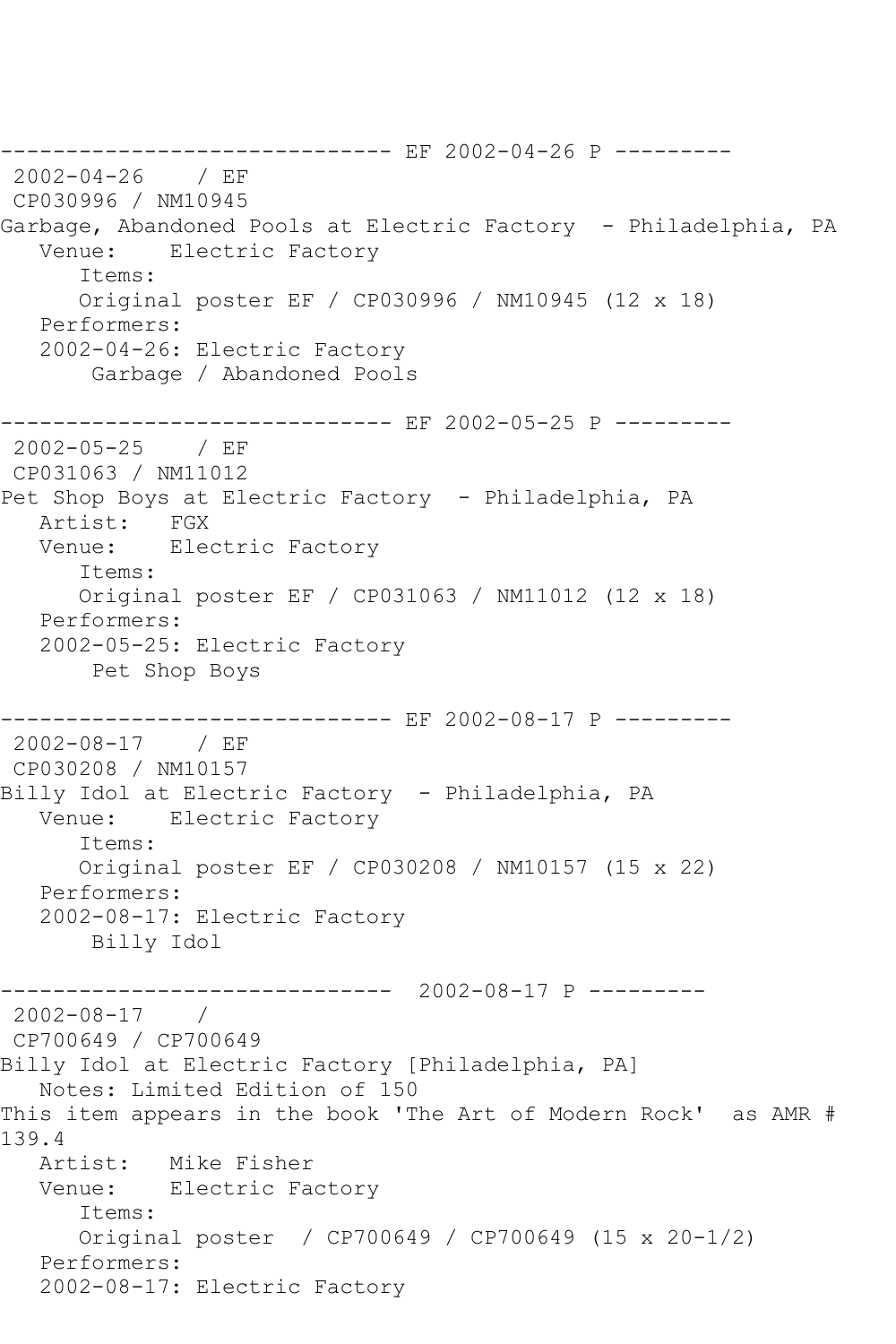------------------------------ EF 2002-04-26 P --------- 2002-04-26 / EF CP030996 / NM10945 Garbage, Abandoned Pools at Electric Factory - Philadelphia, PA<br>Venue: Electric Factory Electric Factory Items: Original poster EF / CP030996 / NM10945 (12 x 18) Performers: 2002-04-26: Electric Factory Garbage / Abandoned Pools ------------------------------ EF 2002-05-25 P ---------  $2002 - 05 - 25$ CP031063 / NM11012 Pet Shop Boys at Electric Factory - Philadelphia, PA Artist: FGX Venue: Electric Factory Items: Original poster EF / CP031063 / NM11012 (12 x 18) Performers: 2002-05-25: Electric Factory Pet Shop Boys ------------------------------ EF 2002-08-17 P --------- 2002-08-17 / EF CP030208 / NM10157 Billy Idol at Electric Factory - Philadelphia, PA Venue: Electric Factory Items: Original poster EF / CP030208 / NM10157 (15 x 22) Performers: 2002-08-17: Electric Factory Billy Idol ------------------------------ 2002-08-17 P --------- 2002-08-17 / CP700649 / CP700649 Billy Idol at Electric Factory [Philadelphia, PA] Notes: Limited Edition of 150 This item appears in the book 'The Art of Modern Rock' as AMR # 139.4 Artist: Mike Fisher Venue: Electric Factory Items: Original poster / CP700649 / CP700649 (15 x 20-1/2) Performers: 2002-08-17: Electric Factory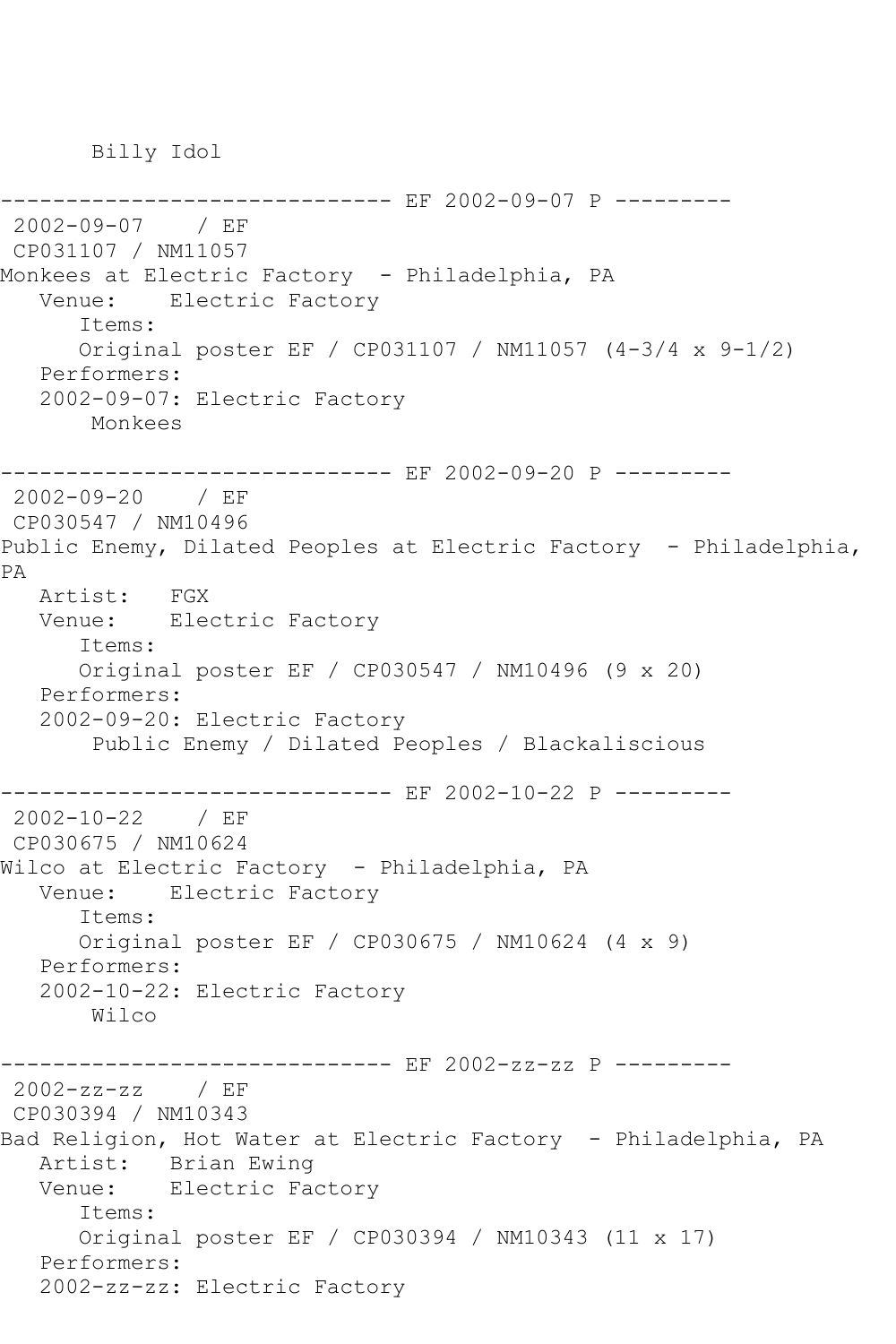Billy Idol

-------------- EF 2002-09-07 P ---------2002-09-07 / EF CP031107 / NM11057 Monkees at Electric Factory - Philadelphia, PA Venue: Electric Factory Items: Original poster EF / CP031107 / NM11057 (4-3/4 x 9-1/2) Performers: 2002-09-07: Electric Factory Monkees ------------------------------ EF 2002-09-20 P --------- 2002-09-20 / EF CP030547 / NM10496 Public Enemy, Dilated Peoples at Electric Factory - Philadelphia, PA Artist: FGX Venue: Electric Factory Items: Original poster EF / CP030547 / NM10496 (9 x 20) Performers: 2002-09-20: Electric Factory Public Enemy / Dilated Peoples / Blackaliscious ------------------------------ EF 2002-10-22 P --------- 2002-10-22 / EF CP030675 / NM10624 Wilco at Electric Factory - Philadelphia, PA Venue: Electric Factory Items: Original poster EF / CP030675 / NM10624 (4 x 9) Performers: 2002-10-22: Electric Factory Wilco ----------- EF 2002-zz-zz P ---------2002-zz-zz / EF CP030394 / NM10343 Bad Religion, Hot Water at Electric Factory - Philadelphia, PA Artist: Brian Ewing Venue: Electric Factory Items: Original poster EF / CP030394 / NM10343 (11 x 17) Performers: 2002-zz-zz: Electric Factory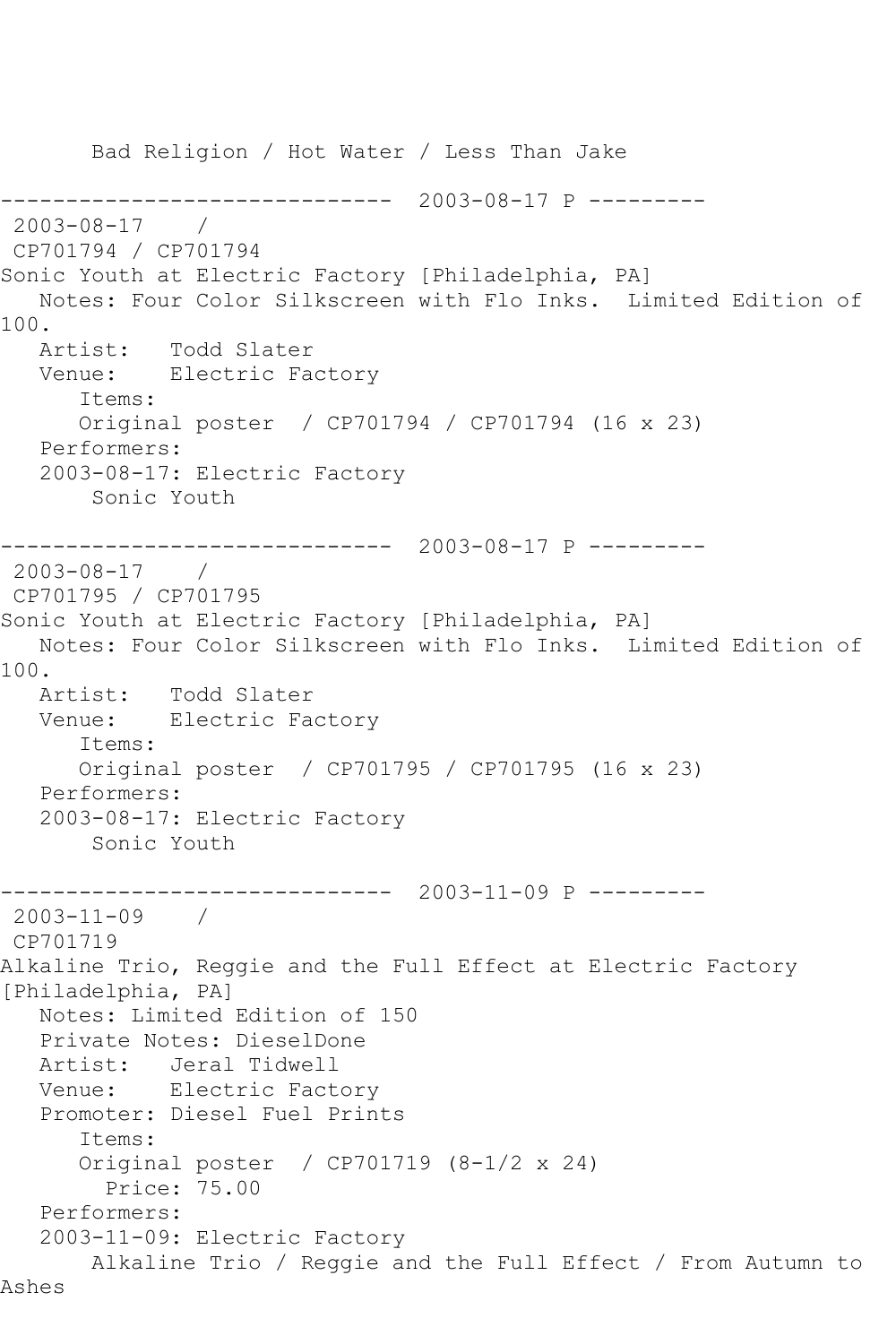Bad Religion / Hot Water / Less Than Jake ------------------------------ 2003-08-17 P --------- 2003-08-17 / CP701794 / CP701794 Sonic Youth at Electric Factory [Philadelphia, PA] Notes: Four Color Silkscreen with Flo Inks. Limited Edition of 100. Artist: Todd Slater Venue: Electric Factory Items: Original poster / CP701794 / CP701794 (16 x 23) Performers: 2003-08-17: Electric Factory Sonic Youth ------------------------------ 2003-08-17 P --------- 2003-08-17 / CP701795 / CP701795 Sonic Youth at Electric Factory [Philadelphia, PA] Notes: Four Color Silkscreen with Flo Inks. Limited Edition of 100.<br>Artist: Todd Slater Venue: Electric Factory Items: Original poster / CP701795 / CP701795 (16 x 23) Performers: 2003-08-17: Electric Factory Sonic Youth ------------------------------ 2003-11-09 P --------- 2003-11-09 / CP701719 Alkaline Trio, Reggie and the Full Effect at Electric Factory [Philadelphia, PA] Notes: Limited Edition of 150 Private Notes: DieselDone Artist: Jeral Tidwell Venue: Electric Factory Promoter: Diesel Fuel Prints Items: Original poster / CP701719 (8-1/2 x 24) Price: 75.00 Performers: 2003-11-09: Electric Factory Alkaline Trio / Reggie and the Full Effect / From Autumn to Ashes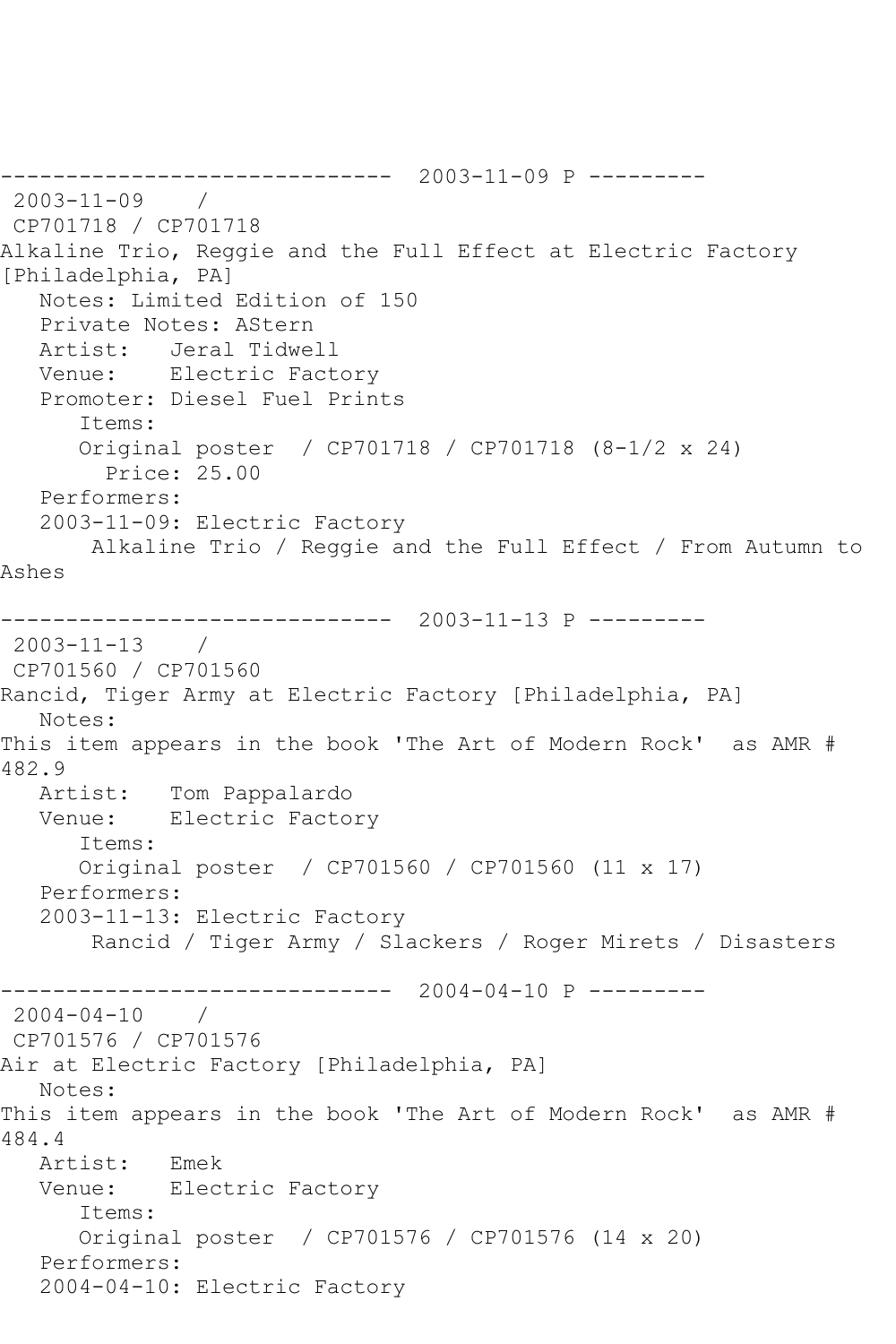------------------------------ 2003-11-09 P --------- 2003-11-09 / CP701718 / CP701718 Alkaline Trio, Reggie and the Full Effect at Electric Factory [Philadelphia, PA] Notes: Limited Edition of 150 Private Notes: AStern Artist: Jeral Tidwell Venue: Electric Factory Promoter: Diesel Fuel Prints Items: Original poster / CP701718 / CP701718 (8-1/2 x 24) Price: 25.00 Performers: 2003-11-09: Electric Factory Alkaline Trio / Reggie and the Full Effect / From Autumn to Ashes ------------------------------ 2003-11-13 P --------- 2003-11-13 / CP701560 / CP701560 Rancid, Tiger Army at Electric Factory [Philadelphia, PA] Notes: This item appears in the book 'The Art of Modern Rock' as AMR # 482.9<br>Artist: Tom Pappalardo Venue: Electric Factory Items: Original poster / CP701560 / CP701560 (11 x 17) Performers: 2003-11-13: Electric Factory Rancid / Tiger Army / Slackers / Roger Mirets / Disasters ------------------------------ 2004-04-10 P --------- 2004-04-10 / CP701576 / CP701576 Air at Electric Factory [Philadelphia, PA] Notes: This item appears in the book 'The Art of Modern Rock' as AMR # 484.4 Artist: Emek Venue: Electric Factory Items: Original poster / CP701576 / CP701576 (14 x 20) Performers: 2004-04-10: Electric Factory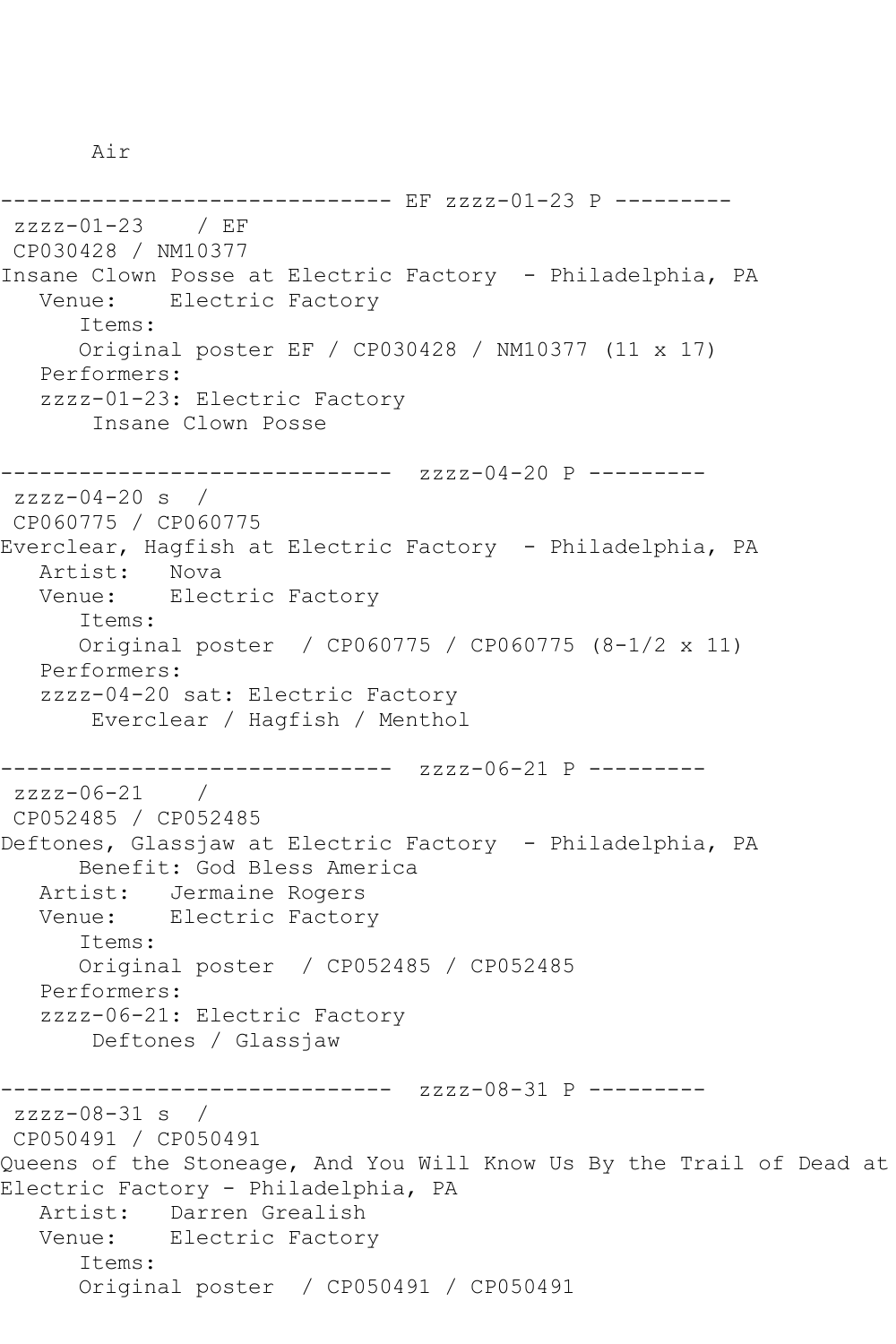Air

-------------------- EF zzzz-01-23 P --------zzzz-01-23 / EF CP030428 / NM10377 Insane Clown Posse at Electric Factory - Philadelphia, PA Venue: Electric Factory Items: Original poster EF / CP030428 / NM10377 (11 x 17) Performers: zzzz-01-23: Electric Factory Insane Clown Posse ------------------------------ zzzz-04-20 P -------- zzzz-04-20 s / CP060775 / CP060775 Everclear, Hagfish at Electric Factory - Philadelphia, PA Artist: Nova Venue: Electric Factory Items: Original poster / CP060775 / CP060775 (8-1/2 x 11) Performers: zzzz-04-20 sat: Electric Factory Everclear / Hagfish / Menthol ------------------------------ zzzz-06-21 P -------- zzzz-06-21 / CP052485 / CP052485 Deftones, Glassjaw at Electric Factory - Philadelphia, PA Benefit: God Bless America Artist: Jermaine Rogers Venue: Electric Factory Items: Original poster / CP052485 / CP052485 Performers: zzzz-06-21: Electric Factory Deftones / Glassjaw ------------------------------ zzzz-08-31 P -------- zzzz-08-31 s / CP050491 / CP050491 Queens of the Stoneage, And You Will Know Us By the Trail of Dead at Electric Factory - Philadelphia, PA Artist: Darren Grealish Venue: Electric Factory Items: Original poster / CP050491 / CP050491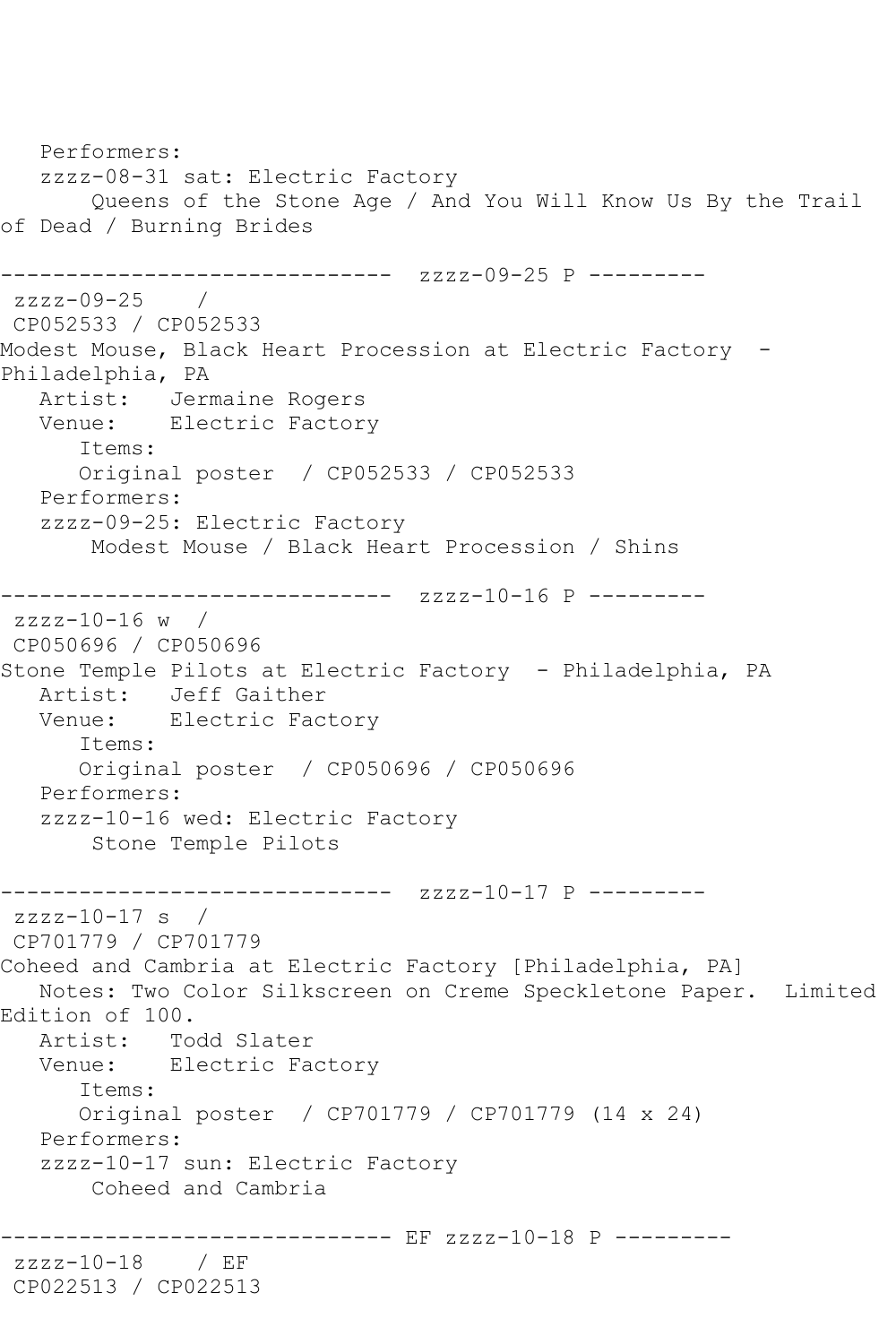Performers: zzzz-08-31 sat: Electric Factory Queens of the Stone Age / And You Will Know Us By the Trail of Dead / Burning Brides ------------------------------ zzzz-09-25 P -------- zzzz-09-25 / CP052533 / CP052533 Modest Mouse, Black Heart Procession at Electric Factory - Philadelphia, PA Artist: Jermaine Rogers Venue: Electric Factory Items: Original poster / CP052533 / CP052533 Performers: zzzz-09-25: Electric Factory Modest Mouse / Black Heart Procession / Shins ------------------------------ zzzz-10-16 P -------- zzzz-10-16 w / CP050696 / CP050696 Stone Temple Pilots at Electric Factory - Philadelphia, PA Artist: Jeff Gaither Venue: Electric Factory Items: Original poster / CP050696 / CP050696 Performers: zzzz-10-16 wed: Electric Factory Stone Temple Pilots ------------------------------ zzzz-10-17 P -------- zzzz-10-17 s / CP701779 / CP701779 Coheed and Cambria at Electric Factory [Philadelphia, PA] Notes: Two Color Silkscreen on Creme Speckletone Paper. Limited Edition of 100. Artist: Todd Slater Venue: Electric Factory Items: Original poster / CP701779 / CP701779 (14 x 24) Performers: zzzz-10-17 sun: Electric Factory Coheed and Cambria ------------------------------ EF zzzz-10-18 P -------- zzzz-10-18 / EF CP022513 / CP022513